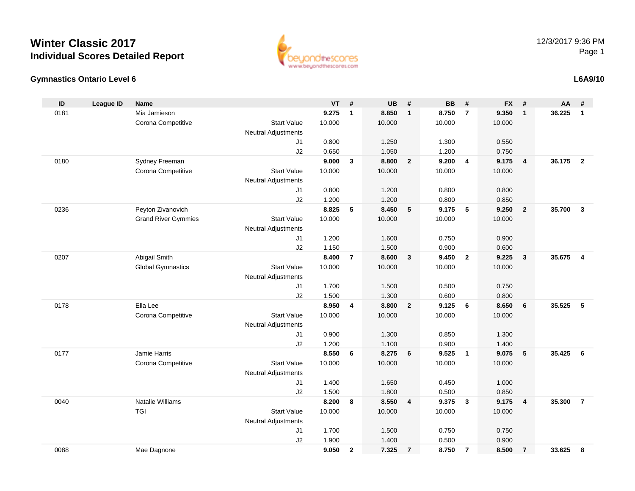



#### **L6A9/10**

| ID   | <b>League ID</b> | <b>Name</b>                |                            | <b>VT</b> | #              | <b>UB</b> | #              | <b>BB</b> | #              | <b>FX</b> | #              | AA     | #                       |
|------|------------------|----------------------------|----------------------------|-----------|----------------|-----------|----------------|-----------|----------------|-----------|----------------|--------|-------------------------|
| 0181 |                  | Mia Jamieson               |                            | 9.275     | $\mathbf{1}$   | 8.850     | $\mathbf{1}$   | 8.750     | $\overline{7}$ | 9.350     | $\mathbf{1}$   | 36.225 | $\mathbf{1}$            |
|      |                  | Corona Competitive         | <b>Start Value</b>         | 10.000    |                | 10.000    |                | 10.000    |                | 10.000    |                |        |                         |
|      |                  |                            | <b>Neutral Adjustments</b> |           |                |           |                |           |                |           |                |        |                         |
|      |                  |                            | J1                         | 0.800     |                | 1.250     |                | 1.300     |                | 0.550     |                |        |                         |
|      |                  |                            | J2                         | 0.650     |                | 1.050     |                | 1.200     |                | 0.750     |                |        |                         |
| 0180 |                  | Sydney Freeman             |                            | 9.000     | 3              | 8.800     | $\overline{2}$ | 9.200     | $\overline{4}$ | 9.175     | $\overline{4}$ | 36.175 | $\overline{2}$          |
|      |                  | Corona Competitive         | <b>Start Value</b>         | 10.000    |                | 10.000    |                | 10.000    |                | 10.000    |                |        |                         |
|      |                  |                            | <b>Neutral Adjustments</b> |           |                |           |                |           |                |           |                |        |                         |
|      |                  |                            | J1                         | 0.800     |                | 1.200     |                | 0.800     |                | 0.800     |                |        |                         |
|      |                  |                            | J2                         | 1.200     |                | 1.200     |                | 0.800     |                | 0.850     |                |        |                         |
| 0236 |                  | Peyton Zivanovich          |                            | 8.825     | 5              | 8.450     | 5              | 9.175     | 5              | 9.250     | $\overline{2}$ | 35.700 | $\overline{3}$          |
|      |                  | <b>Grand River Gymmies</b> | <b>Start Value</b>         | 10.000    |                | 10.000    |                | 10.000    |                | 10.000    |                |        |                         |
|      |                  |                            | <b>Neutral Adjustments</b> |           |                |           |                |           |                |           |                |        |                         |
|      |                  |                            | J <sub>1</sub>             | 1.200     |                | 1.600     |                | 0.750     |                | 0.900     |                |        |                         |
|      |                  |                            | J2                         | 1.150     |                | 1.500     |                | 0.900     |                | 0.600     |                |        |                         |
| 0207 |                  | Abigail Smith              |                            | 8.400     | $\overline{7}$ | 8.600     | 3              | 9.450     | $\overline{2}$ | 9.225     | $\mathbf{3}$   | 35.675 | $\overline{\mathbf{4}}$ |
|      |                  | <b>Global Gymnastics</b>   | <b>Start Value</b>         | 10.000    |                | 10.000    |                | 10.000    |                | 10.000    |                |        |                         |
|      |                  |                            | <b>Neutral Adjustments</b> |           |                |           |                |           |                |           |                |        |                         |
|      |                  |                            | J1                         | 1.700     |                | 1.500     |                | 0.500     |                | 0.750     |                |        |                         |
|      |                  |                            | J2                         | 1.500     |                | 1.300     |                | 0.600     |                | 0.800     |                |        |                         |
| 0178 |                  | Ella Lee                   |                            | 8.950     | 4              | 8.800     | $\overline{2}$ | 9.125     | 6              | 8.650     | 6              | 35.525 | 5                       |
|      |                  | Corona Competitive         | <b>Start Value</b>         | 10.000    |                | 10.000    |                | 10.000    |                | 10.000    |                |        |                         |
|      |                  |                            | <b>Neutral Adjustments</b> |           |                |           |                |           |                |           |                |        |                         |
|      |                  |                            | J1                         | 0.900     |                | 1.300     |                | 0.850     |                | 1.300     |                |        |                         |
|      |                  |                            | J2                         | 1.200     |                | 1.100     |                | 0.900     |                | 1.400     |                |        |                         |
| 0177 |                  | Jamie Harris               |                            | 8.550     | 6              | 8.275     | 6              | 9.525     | $\overline{1}$ | 9.075     | 5              | 35.425 | 6                       |
|      |                  | Corona Competitive         | <b>Start Value</b>         | 10.000    |                | 10.000    |                | 10.000    |                | 10.000    |                |        |                         |
|      |                  |                            | <b>Neutral Adjustments</b> |           |                |           |                |           |                |           |                |        |                         |
|      |                  |                            | J1                         | 1.400     |                | 1.650     |                | 0.450     |                | 1.000     |                |        |                         |
|      |                  |                            | J2                         | 1.500     |                | 1.800     |                | 0.500     |                | 0.850     |                |        |                         |
| 0040 |                  | <b>Natalie Williams</b>    |                            | 8.200     | 8              | 8.550     | 4              | 9.375     | $\mathbf{3}$   | 9.175     | $\overline{4}$ | 35.300 | $\overline{7}$          |
|      |                  | <b>TGI</b>                 | <b>Start Value</b>         | 10.000    |                | 10.000    |                | 10.000    |                | 10.000    |                |        |                         |
|      |                  |                            | <b>Neutral Adjustments</b> |           |                |           |                |           |                |           |                |        |                         |
|      |                  |                            | J1                         | 1.700     |                | 1.500     |                | 0.750     |                | 0.750     |                |        |                         |
|      |                  |                            | J2                         | 1.900     |                | 1.400     |                | 0.500     |                | 0.900     |                |        |                         |
| 0088 |                  | Mae Dagnone                |                            | 9.050     | $\mathbf{2}$   | 7.325     | $\overline{7}$ | 8.750     | $\overline{7}$ | 8.500     | $\overline{7}$ | 33.625 | 8                       |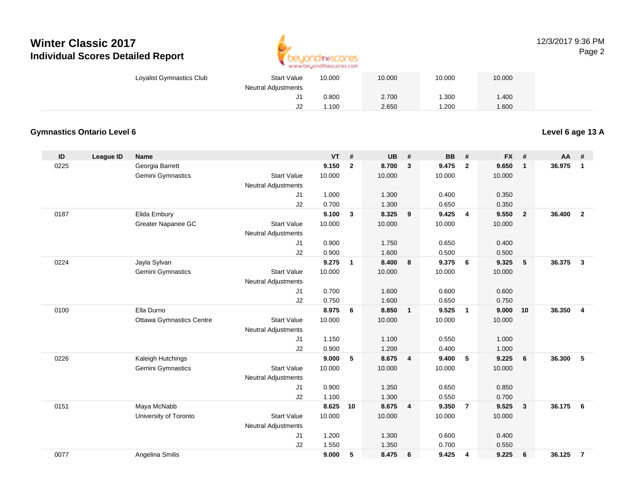

#### 12/3/2017 9:36 PMPage 2

| Loyalist Gymnastics Club | <b>Start Value</b>         | 10.000 | 10.000 | 10.000 | 10.000 |  |
|--------------------------|----------------------------|--------|--------|--------|--------|--|
|                          | <b>Neutral Adjustments</b> |        |        |        |        |  |
|                          | ັບ                         | 0.800  | 2.700  | 1.300  | .400   |  |
|                          | J2                         | .100   | 2.650  | 1.200  | 1.600  |  |

#### **Gymnastics Ontario Level 6**

**Level 6 age 13 A**

| ID   | <b>League ID</b> | <b>Name</b>                     |                            | <b>VT</b> | #              | UB     | #              | <b>BB</b> | #              | <b>FX</b> | #              | <b>AA</b> | #              |
|------|------------------|---------------------------------|----------------------------|-----------|----------------|--------|----------------|-----------|----------------|-----------|----------------|-----------|----------------|
| 0225 |                  | Georgia Barrett                 |                            | 9.150     | $\overline{2}$ | 8.700  | $\mathbf{3}$   | 9.475     | $\overline{2}$ | 9.650     | $\mathbf{1}$   | 36.975    | $\mathbf{1}$   |
|      |                  | Gemini Gymnastics               | <b>Start Value</b>         | 10.000    |                | 10.000 |                | 10.000    |                | 10.000    |                |           |                |
|      |                  |                                 | <b>Neutral Adjustments</b> |           |                |        |                |           |                |           |                |           |                |
|      |                  |                                 | J1                         | 1.000     |                | 1.300  |                | 0.400     |                | 0.350     |                |           |                |
|      |                  |                                 | J2                         | 0.700     |                | 1.300  |                | 0.650     |                | 0.350     |                |           |                |
| 0187 |                  | Elida Embury                    |                            | 9.100     | $\mathbf{3}$   | 8.325  | 9              | 9.425     | $\overline{4}$ | 9.550     | $\overline{2}$ | 36,400    | $\overline{2}$ |
|      |                  | Greater Napanee GC              | <b>Start Value</b>         | 10.000    |                | 10.000 |                | 10.000    |                | 10.000    |                |           |                |
|      |                  |                                 | <b>Neutral Adjustments</b> |           |                |        |                |           |                |           |                |           |                |
|      |                  |                                 | J <sub>1</sub>             | 0.900     |                | 1.750  |                | 0.650     |                | 0.400     |                |           |                |
|      |                  |                                 | J2                         | 0.900     |                | 1.600  |                | 0.500     |                | 0.500     |                |           |                |
| 0224 |                  | Jayla Sylvan                    |                            | 9.275     | $\mathbf{1}$   | 8.400  | 8              | 9.375     | 6              | 9.325     | 5              | 36.375    | $\mathbf{3}$   |
|      |                  | Gemini Gymnastics               | <b>Start Value</b>         | 10.000    |                | 10.000 |                | 10.000    |                | 10.000    |                |           |                |
|      |                  |                                 | <b>Neutral Adjustments</b> |           |                |        |                |           |                |           |                |           |                |
|      |                  |                                 | J1                         | 0.700     |                | 1.600  |                | 0.600     |                | 0.600     |                |           |                |
|      |                  |                                 | J2                         | 0.750     |                | 1.600  |                | 0.650     |                | 0.750     |                |           |                |
| 0100 |                  | Ella Durno                      |                            | 8.975     | 6              | 8.850  | $\mathbf{1}$   | 9.525     | $\overline{1}$ | 9.000     | 10             | 36.350    | $\overline{4}$ |
|      |                  | <b>Ottawa Gymnastics Centre</b> | <b>Start Value</b>         | 10.000    |                | 10.000 |                | 10.000    |                | 10.000    |                |           |                |
|      |                  |                                 | <b>Neutral Adjustments</b> |           |                |        |                |           |                |           |                |           |                |
|      |                  |                                 | J <sub>1</sub>             | 1.150     |                | 1.100  |                | 0.550     |                | 1.000     |                |           |                |
|      |                  |                                 | J2                         | 0.900     |                | 1.200  |                | 0.400     |                | 1.000     |                |           |                |
| 0226 |                  | Kaleigh Hutchings               |                            | 9.000     | 5              | 8.675  | $\overline{4}$ | 9.400     | 5              | 9.225     | 6              | 36,300    | 5              |
|      |                  | Gemini Gymnastics               | <b>Start Value</b>         | 10.000    |                | 10.000 |                | 10.000    |                | 10.000    |                |           |                |
|      |                  |                                 | <b>Neutral Adjustments</b> |           |                |        |                |           |                |           |                |           |                |
|      |                  |                                 | J1                         | 0.900     |                | 1.350  |                | 0.650     |                | 0.850     |                |           |                |
|      |                  |                                 | J2                         | 1.100     |                | 1.300  |                | 0.550     |                | 0.700     |                |           |                |
| 0151 |                  | Maya McNabb                     |                            | 8.625     | 10             | 8.675  | $\overline{4}$ | 9.350     | $\overline{7}$ | 9.525     | $\mathbf{3}$   | 36.175    | 6              |
|      |                  | University of Toronto           | <b>Start Value</b>         | 10.000    |                | 10.000 |                | 10.000    |                | 10.000    |                |           |                |
|      |                  |                                 | <b>Neutral Adjustments</b> |           |                |        |                |           |                |           |                |           |                |
|      |                  |                                 | J1                         | 1.200     |                | 1.300  |                | 0.600     |                | 0.400     |                |           |                |
|      |                  |                                 | J2                         | 1.550     |                | 1.350  |                | 0.700     |                | 0.550     |                |           |                |
| 0077 |                  | Angelina Smilis                 |                            | 9.000     | 5              | 8.475  | 6              | 9.425     | 4              | 9.225     | 6              | 36.125    | $\overline{7}$ |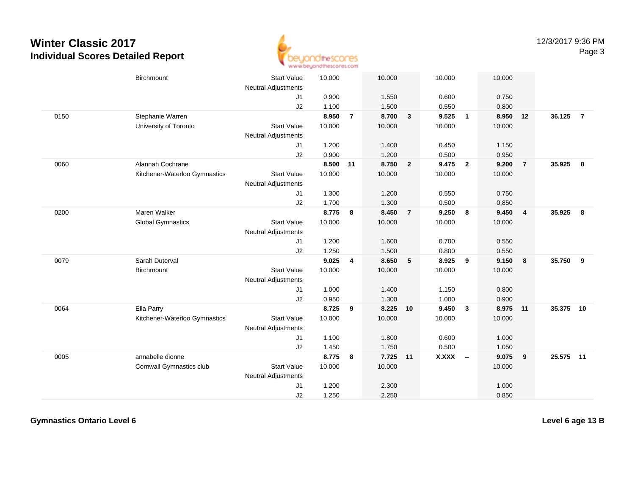

| Birchmount                                        | <b>Start Value</b>                                          | 10.000                                                                           |                                           | 10.000                   |                                           | 10.000                   |                         | 10.000                            |                                  |          |                |
|---------------------------------------------------|-------------------------------------------------------------|----------------------------------------------------------------------------------|-------------------------------------------|--------------------------|-------------------------------------------|--------------------------|-------------------------|-----------------------------------|----------------------------------|----------|----------------|
|                                                   | J <sub>1</sub><br>J2                                        | 0.900                                                                            |                                           | 1.550                    |                                           | 0.600<br>0.550           |                         | 0.750<br>0.800                    |                                  |          |                |
| Stephanie Warren<br>University of Toronto         | <b>Start Value</b><br><b>Neutral Adjustments</b>            | 8.950<br>10.000                                                                  | $\overline{7}$                            | 8.700<br>10.000          | $\mathbf{3}$                              | 9.525<br>10.000          | $\overline{1}$          | 8.950<br>10.000                   |                                  | 36.125   | $\overline{7}$ |
|                                                   | J1                                                          | 1.200                                                                            |                                           | 1.400                    |                                           | 0.450                    |                         | 1.150                             |                                  |          |                |
| Alannah Cochrane<br>Kitchener-Waterloo Gymnastics | <b>Start Value</b>                                          | 10.000                                                                           | 11                                        | 8.750<br>10.000          | $\overline{2}$                            | 9.475<br>10.000          |                         | 9.200<br>10.000                   | $\overline{7}$                   | 35.925   | 8              |
|                                                   | J <sub>1</sub><br>J2                                        | 1.300<br>1.700                                                                   |                                           | 1.200<br>1.300           |                                           | 0.550<br>0.500           |                         | 0.750<br>0.850                    |                                  |          |                |
| Maren Walker<br><b>Global Gymnastics</b>          | <b>Start Value</b><br>Neutral Adjustments                   | 8.775<br>10.000                                                                  | 8                                         | 8.450<br>10.000          | $\overline{7}$                            | 9.250<br>10.000          | 8                       | 9.450<br>10.000                   | $\overline{4}$                   | 35.925   | -8             |
|                                                   | J1<br>J2                                                    | 1.200<br>1.250                                                                   |                                           | 1.600<br>1.500           |                                           | 0.700<br>0.800           |                         | 0.550<br>0.550                    |                                  |          |                |
| Sarah Duterval<br>Birchmount                      | <b>Start Value</b><br>Neutral Adjustments<br>J1             | 9.025<br>10.000<br>1.000                                                         | 4                                         | 8.650<br>10.000<br>1.400 | 5                                         | 8.925<br>10.000<br>1.150 | 9                       | 9.150<br>10.000<br>0.800          | 8                                | 35.750   | 9              |
| Ella Parry<br>Kitchener-Waterloo Gymnastics       | <b>Start Value</b><br><b>Neutral Adjustments</b><br>J1      | 8.725<br>10.000<br>1.100                                                         | 9                                         | 8.225<br>10.000<br>1.800 |                                           | 9.450<br>10.000<br>0.600 | $\mathbf{3}$            | 8.975<br>10.000<br>1.000          |                                  | 35.375   | 10             |
| annabelle dionne<br>Cornwall Gymnastics club      | <b>Start Value</b><br>Neutral Adjustments<br>J <sub>1</sub> | 8.775<br>10.000<br>1.200                                                         | 8                                         | 10.000<br>2.300          |                                           | <b>X.XXX</b>             |                         | 9.075<br>10.000<br>1.000          | $\overline{\mathbf{9}}$          |          |                |
|                                                   |                                                             | <b>Neutral Adjustments</b><br>J2<br><b>Neutral Adjustments</b><br>J2<br>J2<br>J2 | 1.100<br>0.900<br>0.950<br>1.450<br>1.250 | 8.500                    | 1.500<br>1.200<br>1.300<br>1.750<br>2.250 | 10<br>7.725 11           | 0.500<br>1.000<br>0.500 | $\overline{\mathbf{2}}$<br>$\sim$ | 0.950<br>0.900<br>1.050<br>0.850 | 12<br>11 | 25.575 11      |

**Gymnastics Ontario Level 6**

**Level 6 age 13 B**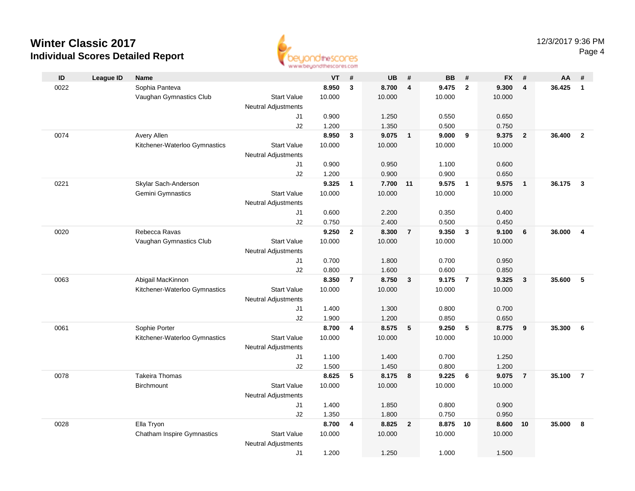

| $\mathsf{ID}$ | <b>League ID</b> | Name                              |                            | <b>VT</b> | #              | <b>UB</b>      | #                       | <b>BB</b> | #              | <b>FX</b> | #                       | AA     | #                       |
|---------------|------------------|-----------------------------------|----------------------------|-----------|----------------|----------------|-------------------------|-----------|----------------|-----------|-------------------------|--------|-------------------------|
| 0022          |                  | Sophia Panteva                    |                            | 8.950     | $\mathbf{3}$   | 8.700          | $\overline{\mathbf{4}}$ | 9.475     | $\overline{2}$ | 9.300     | $\overline{\mathbf{4}}$ | 36.425 | $\mathbf{1}$            |
|               |                  | Vaughan Gymnastics Club           | <b>Start Value</b>         | 10.000    |                | 10.000         |                         | 10.000    |                | 10.000    |                         |        |                         |
|               |                  |                                   | <b>Neutral Adjustments</b> |           |                |                |                         |           |                |           |                         |        |                         |
|               |                  |                                   | J1                         | 0.900     |                | 1.250          |                         | 0.550     |                | 0.650     |                         |        |                         |
|               |                  |                                   | J2                         | 1.200     |                | 1.350          |                         | 0.500     |                | 0.750     |                         |        |                         |
| 0074          |                  | Avery Allen                       |                            | 8.950     | $\mathbf{3}$   | 9.075          | $\overline{1}$          | 9.000     | 9              | 9.375     | $\overline{2}$          | 36,400 | $\overline{2}$          |
|               |                  | Kitchener-Waterloo Gymnastics     | <b>Start Value</b>         | 10.000    |                | 10.000         |                         | 10.000    |                | 10.000    |                         |        |                         |
|               |                  |                                   | <b>Neutral Adjustments</b> |           |                |                |                         |           |                |           |                         |        |                         |
|               |                  |                                   | J1                         | 0.900     |                | 0.950          |                         | 1.100     |                | 0.600     |                         |        |                         |
|               |                  |                                   | J2                         | 1.200     |                | 0.900          |                         | 0.900     |                | 0.650     |                         |        |                         |
| 0221          |                  | Skylar Sach-Anderson              |                            | 9.325     | $\mathbf{1}$   | 7.700          | 11                      | 9.575     | $\overline{1}$ | 9.575     | $\overline{1}$          | 36.175 | $\mathbf{3}$            |
|               |                  | Gemini Gymnastics                 | <b>Start Value</b>         | 10.000    |                | 10.000         |                         | 10.000    |                | 10.000    |                         |        |                         |
|               |                  |                                   | <b>Neutral Adjustments</b> |           |                |                |                         |           |                |           |                         |        |                         |
|               |                  |                                   | J1                         | 0.600     |                | 2.200          |                         | 0.350     |                | 0.400     |                         |        |                         |
|               |                  |                                   | J2                         | 0.750     |                | 2.400          |                         | 0.500     |                | 0.450     |                         |        |                         |
| 0020          |                  | Rebecca Ravas                     |                            | 9.250     | $\mathbf{2}$   | 8.300          | $\overline{7}$          | 9.350     | $\mathbf{3}$   | 9.100     | $6\phantom{1}6$         | 36.000 | $\overline{\mathbf{4}}$ |
|               |                  | Vaughan Gymnastics Club           | <b>Start Value</b>         | 10.000    |                | 10.000         |                         | 10.000    |                | 10.000    |                         |        |                         |
|               |                  |                                   | <b>Neutral Adjustments</b> |           |                |                |                         |           |                |           |                         |        |                         |
|               |                  |                                   | J1                         | 0.700     |                | 1.800          |                         | 0.700     |                | 0.950     |                         |        |                         |
|               |                  |                                   | J2                         | 0.800     |                | 1.600          |                         | 0.600     |                | 0.850     |                         |        |                         |
| 0063          |                  | Abigail MacKinnon                 |                            | 8.350     | $\overline{7}$ | 8.750          | $\mathbf{3}$            | 9.175     | $\overline{7}$ | 9.325     | $\overline{\mathbf{3}}$ | 35.600 | 5                       |
|               |                  | Kitchener-Waterloo Gymnastics     | <b>Start Value</b>         | 10.000    |                | 10.000         |                         | 10.000    |                | 10.000    |                         |        |                         |
|               |                  |                                   | Neutral Adjustments        | 1.400     |                |                |                         | 0.800     |                | 0.700     |                         |        |                         |
|               |                  |                                   | J1<br>J2                   | 1.900     |                | 1.300<br>1.200 |                         | 0.850     |                | 0.650     |                         |        |                         |
| 0061          |                  | Sophie Porter                     |                            | 8.700     | 4              | 8.575          | 5                       | 9.250     | - 5            | 8.775     | 9                       | 35.300 | 6                       |
|               |                  | Kitchener-Waterloo Gymnastics     | <b>Start Value</b>         | 10.000    |                | 10.000         |                         | 10.000    |                | 10.000    |                         |        |                         |
|               |                  |                                   | <b>Neutral Adjustments</b> |           |                |                |                         |           |                |           |                         |        |                         |
|               |                  |                                   | J1                         | 1.100     |                | 1.400          |                         | 0.700     |                | 1.250     |                         |        |                         |
|               |                  |                                   | J2                         | 1.500     |                | 1.450          |                         | 0.800     |                | 1.200     |                         |        |                         |
| 0078          |                  | <b>Takeira Thomas</b>             |                            | 8.625     | 5              | 8.175          | 8                       | 9.225     | 6              | 9.075     | $\overline{7}$          | 35.100 | $\overline{7}$          |
|               |                  | Birchmount                        | <b>Start Value</b>         | 10.000    |                | 10.000         |                         | 10.000    |                | 10.000    |                         |        |                         |
|               |                  |                                   | <b>Neutral Adjustments</b> |           |                |                |                         |           |                |           |                         |        |                         |
|               |                  |                                   | J1                         | 1.400     |                | 1.850          |                         | 0.800     |                | 0.900     |                         |        |                         |
|               |                  |                                   | J2                         | 1.350     |                | 1.800          |                         | 0.750     |                | 0.950     |                         |        |                         |
| 0028          |                  | Ella Tryon                        |                            | 8.700     | 4              | 8.825          | $\overline{2}$          | 8.875     | 10             | 8.600     | 10                      | 35.000 | 8                       |
|               |                  | <b>Chatham Inspire Gymnastics</b> | <b>Start Value</b>         | 10.000    |                | 10.000         |                         | 10.000    |                | 10.000    |                         |        |                         |
|               |                  |                                   | <b>Neutral Adjustments</b> |           |                |                |                         |           |                |           |                         |        |                         |
|               |                  |                                   | J1                         | 1.200     |                | 1.250          |                         | 1.000     |                | 1.500     |                         |        |                         |
|               |                  |                                   |                            |           |                |                |                         |           |                |           |                         |        |                         |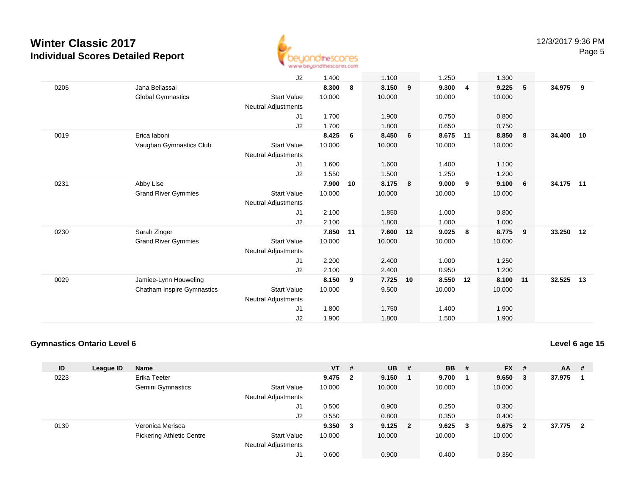

|      |                            | J2                         | 1.400  |    | 1.100  |    | 1.250  |    | 1.300  |    |           |    |
|------|----------------------------|----------------------------|--------|----|--------|----|--------|----|--------|----|-----------|----|
| 0205 | Jana Bellassai             |                            | 8.300  | 8  | 8.150  | 9  | 9.300  | 4  | 9.225  | 5  | 34.975    | 9  |
|      | <b>Global Gymnastics</b>   | <b>Start Value</b>         | 10.000 |    | 10.000 |    | 10.000 |    | 10.000 |    |           |    |
|      |                            | <b>Neutral Adjustments</b> |        |    |        |    |        |    |        |    |           |    |
|      |                            | J1                         | 1.700  |    | 1.900  |    | 0.750  |    | 0.800  |    |           |    |
|      |                            | J2                         | 1.700  |    | 1.800  |    | 0.650  |    | 0.750  |    |           |    |
| 0019 | Erica laboni               |                            | 8.425  | 6  | 8.450  | 6  | 8.675  | 11 | 8.850  | 8  | 34.400    | 10 |
|      |                            | <b>Start Value</b>         | 10.000 |    | 10.000 |    | 10.000 |    | 10.000 |    |           |    |
|      | Vaughan Gymnastics Club    |                            |        |    |        |    |        |    |        |    |           |    |
|      |                            | <b>Neutral Adjustments</b> |        |    |        |    |        |    |        |    |           |    |
|      |                            | J1                         | 1.600  |    | 1.600  |    | 1.400  |    | 1.100  |    |           |    |
|      |                            | J2                         | 1.550  |    | 1.500  |    | 1.250  |    | 1.200  |    |           |    |
| 0231 | Abby Lise                  |                            | 7.900  | 10 | 8.175  | 8  | 9.000  | 9  | 9.100  | 6  | 34.175 11 |    |
|      | <b>Grand River Gymmies</b> | <b>Start Value</b>         | 10.000 |    | 10.000 |    | 10.000 |    | 10.000 |    |           |    |
|      |                            | <b>Neutral Adjustments</b> |        |    |        |    |        |    |        |    |           |    |
|      |                            | J1                         | 2.100  |    | 1.850  |    | 1.000  |    | 0.800  |    |           |    |
|      |                            | J2                         | 2.100  |    | 1.800  |    | 1.000  |    | 1.000  |    |           |    |
| 0230 | Sarah Zinger               |                            | 7.850  | 11 | 7.600  | 12 | 9.025  | 8  | 8.775  | 9  | 33.250    | 12 |
|      | <b>Grand River Gymmies</b> | <b>Start Value</b>         | 10.000 |    | 10.000 |    | 10.000 |    | 10.000 |    |           |    |
|      |                            |                            |        |    |        |    |        |    |        |    |           |    |
|      |                            | <b>Neutral Adjustments</b> |        |    |        |    |        |    |        |    |           |    |
|      |                            | J1                         | 2.200  |    | 2.400  |    | 1.000  |    | 1.250  |    |           |    |
|      |                            | J2                         | 2.100  |    | 2.400  |    | 0.950  |    | 1.200  |    |           |    |
| 0029 | Jamiee-Lynn Houweling      |                            | 8.150  | 9  | 7.725  | 10 | 8.550  | 12 | 8.100  | 11 | 32.525    | 13 |
|      | Chatham Inspire Gymnastics | <b>Start Value</b>         | 10.000 |    | 9.500  |    | 10.000 |    | 10.000 |    |           |    |
|      |                            | <b>Neutral Adjustments</b> |        |    |        |    |        |    |        |    |           |    |
|      |                            | J <sub>1</sub>             | 1.800  |    | 1.750  |    | 1.400  |    | 1.900  |    |           |    |
|      |                            | J2                         | 1.900  |    | 1.800  |    | 1.500  |    | 1.900  |    |           |    |
|      |                            |                            |        |    |        |    |        |    |        |    |           |    |

#### **Gymnastics Ontario Level 6**

**Level 6 age 15**

| ID   | League ID | <b>Name</b>                      |                            | $VT$ #  |     | <b>UB</b> # | <b>BB</b> | #            | <b>FX</b> | #  | $AA$ # |                |
|------|-----------|----------------------------------|----------------------------|---------|-----|-------------|-----------|--------------|-----------|----|--------|----------------|
| 0223 |           | Erika Teeter                     |                            | 9.475   | - 2 | 9.150       | 9.700     |              | 9.650     | -3 | 37.975 |                |
|      |           | <b>Gemini Gymnastics</b>         | <b>Start Value</b>         | 10.000  |     | 10.000      | 10.000    |              | 10.000    |    |        |                |
|      |           |                                  | <b>Neutral Adjustments</b> |         |     |             |           |              |           |    |        |                |
|      |           |                                  | J1                         | 0.500   |     | 0.900       | 0.250     |              | 0.300     |    |        |                |
|      |           |                                  | J2                         | 0.550   |     | 0.800       | 0.350     |              | 0.400     |    |        |                |
| 0139 |           | Veronica Merisca                 |                            | 9.350 3 |     | $9.125$ 2   | 9.625     | $\mathbf{3}$ | 9.675     | -2 | 37.775 | $\overline{2}$ |
|      |           | <b>Pickering Athletic Centre</b> | <b>Start Value</b>         | 10.000  |     | 10.000      | 10.000    |              | 10.000    |    |        |                |
|      |           |                                  | <b>Neutral Adjustments</b> |         |     |             |           |              |           |    |        |                |
|      |           |                                  | J1                         | 0.600   |     | 0.900       | 0.400     |              | 0.350     |    |        |                |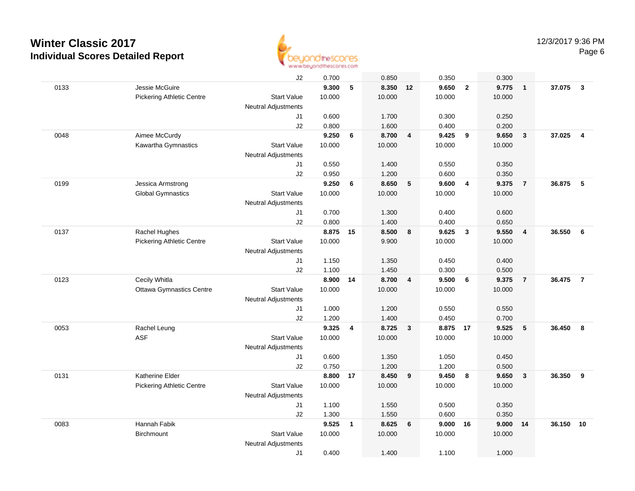

|      |                                  | J2                         | 0.700    |              | 0.850    |                         | 0.350    |                         | 0.300  |                         |        |                         |
|------|----------------------------------|----------------------------|----------|--------------|----------|-------------------------|----------|-------------------------|--------|-------------------------|--------|-------------------------|
| 0133 | Jessie McGuire                   |                            | 9.300    | 5            | 8.350 12 |                         | 9.650    | $\overline{2}$          | 9.775  | $\overline{1}$          | 37.075 | $\mathbf{3}$            |
|      | Pickering Athletic Centre        | <b>Start Value</b>         | 10.000   |              | 10.000   |                         | 10.000   |                         | 10.000 |                         |        |                         |
|      |                                  | <b>Neutral Adjustments</b> |          |              |          |                         |          |                         |        |                         |        |                         |
|      |                                  | J1                         | 0.600    |              | 1.700    |                         | 0.300    |                         | 0.250  |                         |        |                         |
|      |                                  | J2                         | 0.800    |              | 1.600    |                         | 0.400    |                         | 0.200  |                         |        |                         |
| 0048 | Aimee McCurdy                    |                            | 9.250    | 6            | 8.700    | $\overline{\mathbf{4}}$ | 9.425    | 9                       | 9.650  | $\overline{\mathbf{3}}$ | 37.025 | $\overline{\mathbf{4}}$ |
|      | Kawartha Gymnastics              | <b>Start Value</b>         | 10.000   |              | 10.000   |                         | 10.000   |                         | 10.000 |                         |        |                         |
|      |                                  | <b>Neutral Adjustments</b> |          |              |          |                         |          |                         |        |                         |        |                         |
|      |                                  | J1                         | 0.550    |              | 1.400    |                         | 0.550    |                         | 0.350  |                         |        |                         |
|      |                                  | J2                         | 0.950    |              | 1.200    |                         | 0.600    |                         | 0.350  |                         |        |                         |
| 0199 | Jessica Armstrong                |                            | 9.250    | 6            | 8.650    | 5                       | 9.600    | $\overline{4}$          | 9.375  | $\overline{7}$          | 36.875 | 5                       |
|      | <b>Global Gymnastics</b>         | <b>Start Value</b>         | 10.000   |              | 10.000   |                         | 10.000   |                         | 10.000 |                         |        |                         |
|      |                                  | <b>Neutral Adjustments</b> |          |              |          |                         |          |                         |        |                         |        |                         |
|      |                                  | J1                         | 0.700    |              | 1.300    |                         | 0.400    |                         | 0.600  |                         |        |                         |
|      |                                  | J2                         | 0.800    |              | 1.400    |                         | 0.400    |                         | 0.650  |                         |        |                         |
| 0137 | Rachel Hughes                    |                            | 8.875 15 |              | 8.500    | 8                       | 9.625    | $\mathbf{3}$            | 9.550  | $\overline{\mathbf{4}}$ | 36.550 | 6                       |
|      | <b>Pickering Athletic Centre</b> | <b>Start Value</b>         | 10.000   |              | 9.900    |                         | 10.000   |                         | 10.000 |                         |        |                         |
|      |                                  | <b>Neutral Adjustments</b> |          |              |          |                         |          |                         |        |                         |        |                         |
|      |                                  | J1                         | 1.150    |              | 1.350    |                         | 0.450    |                         | 0.400  |                         |        |                         |
|      |                                  | J2                         | 1.100    |              | 1.450    |                         | 0.300    |                         | 0.500  |                         |        |                         |
| 0123 | Cecily Whitla                    |                            | 8.900    | 14           | 8.700    | $\overline{4}$          | 9.500    | 6                       | 9.375  | $\overline{7}$          | 36.475 | $\overline{7}$          |
|      | <b>Ottawa Gymnastics Centre</b>  | <b>Start Value</b>         | 10.000   |              | 10.000   |                         | 10.000   |                         | 10.000 |                         |        |                         |
|      |                                  | <b>Neutral Adjustments</b> |          |              |          |                         |          |                         |        |                         |        |                         |
|      |                                  | J1                         | 1.000    |              | 1.200    |                         | 0.550    |                         | 0.550  |                         |        |                         |
|      |                                  | J2                         | 1.200    |              | 1.400    |                         | 0.450    |                         | 0.700  |                         |        |                         |
| 0053 | Rachel Leung                     |                            | 9.325    | 4            | 8.725    | $\mathbf{3}$            | 8.875 17 |                         | 9.525  | $\sqrt{5}$              | 36.450 | - 8                     |
|      | <b>ASF</b>                       | <b>Start Value</b>         | 10.000   |              | 10.000   |                         | 10.000   |                         | 10.000 |                         |        |                         |
|      |                                  | <b>Neutral Adjustments</b> |          |              |          |                         |          |                         |        |                         |        |                         |
|      |                                  | J1                         | 0.600    |              | 1.350    |                         | 1.050    |                         | 0.450  |                         |        |                         |
|      |                                  | J2                         | 0.750    |              | 1.200    |                         | 1.200    |                         | 0.500  |                         |        |                         |
| 0131 | Katherine Elder                  |                            | 8.800    | 17           | 8.450    | $\overline{\mathbf{9}}$ | 9.450    | $\overline{\mathbf{8}}$ | 9.650  | $\mathbf{3}$            | 36.350 | 9                       |
|      | <b>Pickering Athletic Centre</b> | <b>Start Value</b>         | 10.000   |              | 10.000   |                         | 10.000   |                         | 10.000 |                         |        |                         |
|      |                                  | <b>Neutral Adjustments</b> |          |              |          |                         |          |                         |        |                         |        |                         |
|      |                                  | J1                         | 1.100    |              | 1.550    |                         | 0.500    |                         | 0.350  |                         |        |                         |
|      |                                  | J2                         | 1.300    |              | 1.550    |                         | 0.600    |                         | 0.350  |                         |        |                         |
| 0083 | Hannah Fabik                     |                            | 9.525    | $\mathbf{1}$ | 8.625    | 6                       | 9.000    | 16                      | 9.000  | 14                      | 36.150 | 10                      |
|      | <b>Birchmount</b>                | <b>Start Value</b>         | 10.000   |              | 10.000   |                         | 10.000   |                         | 10.000 |                         |        |                         |
|      |                                  | <b>Neutral Adjustments</b> |          |              |          |                         |          |                         |        |                         |        |                         |
|      |                                  | J1                         | 0.400    |              | 1.400    |                         | 1.100    |                         | 1.000  |                         |        |                         |
|      |                                  |                            |          |              |          |                         |          |                         |        |                         |        |                         |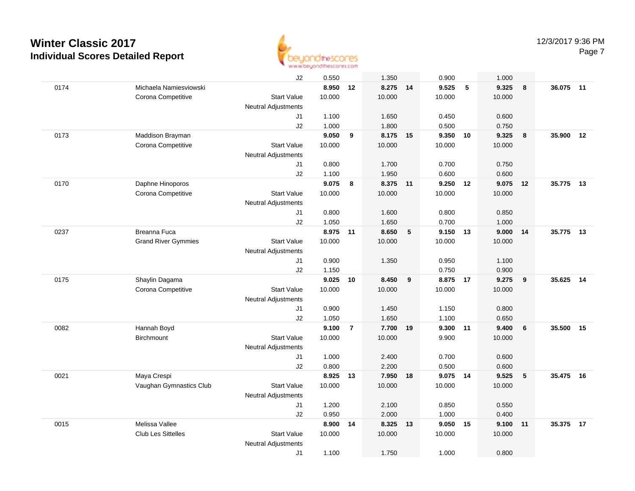

|      | J2                                               | 0.550    |                         | 1.350    |                 | 0.900    |            | 1.000  |    |           |    |
|------|--------------------------------------------------|----------|-------------------------|----------|-----------------|----------|------------|--------|----|-----------|----|
| 0174 | Michaela Namiesviowski                           | 8.950    | 12                      | 8.275 14 |                 | 9.525    | $\sqrt{5}$ | 9.325  | 8  | 36.075 11 |    |
|      | Corona Competitive<br><b>Start Value</b>         | 10.000   |                         | 10.000   |                 | 10.000   |            | 10.000 |    |           |    |
|      | <b>Neutral Adjustments</b>                       |          |                         |          |                 |          |            |        |    |           |    |
|      | J1                                               | 1.100    |                         | 1.650    |                 | 0.450    |            | 0.600  |    |           |    |
|      | J2                                               | 1.000    |                         | 1.800    |                 | 0.500    |            | 0.750  |    |           |    |
| 0173 | Maddison Brayman                                 | 9.050    | 9                       | 8.175    | 15              | 9.350    | 10         | 9.325  | 8  | 35.900    | 12 |
|      | Corona Competitive<br><b>Start Value</b>         | 10.000   |                         | 10.000   |                 | 10.000   |            | 10.000 |    |           |    |
|      | <b>Neutral Adjustments</b>                       |          |                         |          |                 |          |            |        |    |           |    |
|      | J1                                               | 0.800    |                         | 1.700    |                 | 0.700    |            | 0.750  |    |           |    |
|      | J2                                               | 1.100    |                         | 1.950    |                 | 0.600    |            | 0.600  |    |           |    |
| 0170 | Daphne Hinoporos                                 | 9.075    | 8                       | 8.375 11 |                 | 9.250 12 |            | 9.075  | 12 | 35.775    | 13 |
|      | <b>Start Value</b><br>Corona Competitive         | 10.000   |                         | 10.000   |                 | 10.000   |            | 10.000 |    |           |    |
|      | <b>Neutral Adjustments</b>                       |          |                         |          |                 |          |            |        |    |           |    |
|      | J <sub>1</sub>                                   | 0.800    |                         | 1.600    |                 | 0.800    |            | 0.850  |    |           |    |
|      | J2                                               | 1.050    |                         | 1.650    |                 | 0.700    |            | 1.000  |    |           |    |
| 0237 | <b>Breanna Fuca</b>                              | 8.975 11 |                         | 8.650    | $5\phantom{.0}$ | 9.150    | 13         | 9.000  | 14 | 35.775 13 |    |
|      | <b>Start Value</b><br><b>Grand River Gymmies</b> | 10.000   |                         | 10.000   |                 | 10.000   |            | 10.000 |    |           |    |
|      | <b>Neutral Adjustments</b>                       |          |                         |          |                 |          |            |        |    |           |    |
|      | J1                                               | 0.900    |                         | 1.350    |                 | 0.950    |            | 1.100  |    |           |    |
|      | J2                                               | 1.150    |                         |          |                 | 0.750    |            | 0.900  |    |           |    |
| 0175 | Shaylin Dagama                                   | 9.025    | 10                      | 8.450    | 9               | 8.875 17 |            | 9.275  | 9  | 35.625    | 14 |
|      | <b>Start Value</b><br>Corona Competitive         | 10.000   |                         | 10.000   |                 | 10.000   |            | 10.000 |    |           |    |
|      | Neutral Adjustments                              |          |                         |          |                 |          |            |        |    |           |    |
|      | J1                                               | 0.900    |                         | 1.450    |                 | 1.150    |            | 0.800  |    |           |    |
|      | J2                                               | 1.050    |                         | 1.650    |                 | 1.100    |            | 0.650  |    |           |    |
| 0082 | Hannah Boyd                                      | 9.100    | $\overline{\mathbf{r}}$ | 7.700    | - 19            | 9.300    | 11         | 9.400  | 6  | 35.500    | 15 |
|      | <b>Birchmount</b><br><b>Start Value</b>          | 10.000   |                         | 10.000   |                 | 9.900    |            | 10.000 |    |           |    |
|      | Neutral Adjustments                              |          |                         |          |                 |          |            |        |    |           |    |
|      | J1                                               | 1.000    |                         | 2.400    |                 | 0.700    |            | 0.600  |    |           |    |
|      | J2                                               | 0.800    |                         | 2.200    |                 | 0.500    |            | 0.600  |    |           |    |
| 0021 | Maya Crespi                                      | 8.925    | 13                      | 7.950 18 |                 | 9.075 14 |            | 9.525  | 5  | 35.475 16 |    |
|      | Vaughan Gymnastics Club<br><b>Start Value</b>    | 10.000   |                         | 10.000   |                 | 10.000   |            | 10.000 |    |           |    |
|      | <b>Neutral Adjustments</b>                       |          |                         |          |                 |          |            |        |    |           |    |
|      | J1                                               | 1.200    |                         | 2.100    |                 | 0.850    |            | 0.550  |    |           |    |
|      | J2                                               | 0.950    |                         | 2.000    |                 | 1.000    |            | 0.400  |    |           |    |
| 0015 | Melissa Vallee                                   | 8.900    | 14                      | 8.325    | 13              | 9.050    | 15         | 9.100  | 11 | 35.375    | 17 |
|      | <b>Club Les Sittelles</b><br><b>Start Value</b>  | 10.000   |                         | 10.000   |                 | 10.000   |            | 10.000 |    |           |    |
|      | <b>Neutral Adjustments</b>                       |          |                         |          |                 |          |            |        |    |           |    |
|      | J1                                               | 1.100    |                         | 1.750    |                 | 1.000    |            | 0.800  |    |           |    |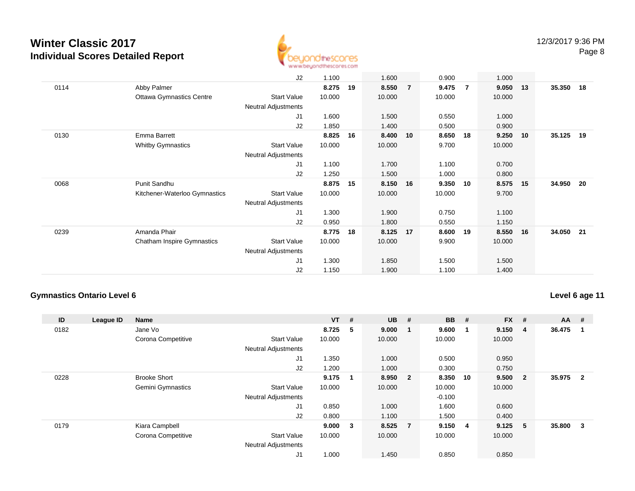

|      |                                   | J2                         | 1.100  |    | 1.600  |                | 0.900  |     | 1.000  |    |        |     |
|------|-----------------------------------|----------------------------|--------|----|--------|----------------|--------|-----|--------|----|--------|-----|
| 0114 | Abby Palmer                       |                            | 8.275  | 19 | 8.550  | $\overline{7}$ | 9.475  | - 7 | 9.050  | 13 | 35.350 | 18  |
|      | <b>Ottawa Gymnastics Centre</b>   | Start Value                | 10.000 |    | 10.000 |                | 10.000 |     | 10.000 |    |        |     |
|      |                                   | <b>Neutral Adjustments</b> |        |    |        |                |        |     |        |    |        |     |
|      |                                   | J1                         | 1.600  |    | 1.500  |                | 0.550  |     | 1.000  |    |        |     |
|      |                                   | J2                         | 1.850  |    | 1.400  |                | 0.500  |     | 0.900  |    |        |     |
| 0130 | Emma Barrett                      |                            | 8.825  | 16 | 8.400  | 10             | 8.650  | 18  | 9.250  | 10 | 35.125 | 19  |
|      | <b>Whitby Gymnastics</b>          | <b>Start Value</b>         | 10.000 |    | 10.000 |                | 9.700  |     | 10.000 |    |        |     |
|      |                                   | <b>Neutral Adjustments</b> |        |    |        |                |        |     |        |    |        |     |
|      |                                   | J <sub>1</sub>             | 1.100  |    | 1.700  |                | 1.100  |     | 0.700  |    |        |     |
|      |                                   | J2                         | 1.250  |    | 1.500  |                | 1.000  |     | 0.800  |    |        |     |
| 0068 | Punit Sandhu                      |                            | 8.875  | 15 | 8.150  | 16             | 9.350  | 10  | 8.575  | 15 | 34.950 | -20 |
|      | Kitchener-Waterloo Gymnastics     | <b>Start Value</b>         | 10.000 |    | 10.000 |                | 10.000 |     | 9.700  |    |        |     |
|      |                                   | Neutral Adjustments        |        |    |        |                |        |     |        |    |        |     |
|      |                                   | J1                         | 1.300  |    | 1.900  |                | 0.750  |     | 1.100  |    |        |     |
|      |                                   | J2                         | 0.950  |    | 1.800  |                | 0.550  |     | 1.150  |    |        |     |
| 0239 | Amanda Phair                      |                            | 8.775  | 18 | 8.125  | 17             | 8.600  | 19  | 8.550  | 16 | 34.050 | 21  |
|      | <b>Chatham Inspire Gymnastics</b> | <b>Start Value</b>         | 10.000 |    | 10.000 |                | 9.900  |     | 10.000 |    |        |     |
|      |                                   | <b>Neutral Adjustments</b> |        |    |        |                |        |     |        |    |        |     |
|      |                                   | J1                         | 1.300  |    | 1.850  |                | 1.500  |     | 1.500  |    |        |     |
|      |                                   | J2                         | 1.150  |    | 1.900  |                | 1.100  |     | 1.400  |    |        |     |

#### **Gymnastics Ontario Level 6**

**Level 6 age 11**

| ID   | League ID | <b>Name</b>         |                            | $VT$ # |    | <b>UB</b> | #                       | <b>BB</b> | #   | <b>FX</b> | #            | $AA$ # |                |
|------|-----------|---------------------|----------------------------|--------|----|-----------|-------------------------|-----------|-----|-----------|--------------|--------|----------------|
| 0182 |           | Jane Vo             |                            | 8.725  | -5 | 9.000     | $\overline{\mathbf{1}}$ | 9.600     | -1  | 9.150     | 4            | 36.475 |                |
|      |           | Corona Competitive  | <b>Start Value</b>         | 10.000 |    | 10.000    |                         | 10.000    |     | 10.000    |              |        |                |
|      |           |                     | <b>Neutral Adjustments</b> |        |    |           |                         |           |     |           |              |        |                |
|      |           |                     | J <sub>1</sub>             | 1.350  |    | 1.000     |                         | 0.500     |     | 0.950     |              |        |                |
|      |           |                     | J2                         | 1.200  |    | 1.000     |                         | 0.300     |     | 0.750     |              |        |                |
| 0228 |           | <b>Brooke Short</b> |                            | 9.175  |    | 8.950     | $\overline{\mathbf{2}}$ | 8.350     | 10  | 9.500     | $\mathbf{2}$ | 35.975 | $\overline{2}$ |
|      |           | Gemini Gymnastics   | <b>Start Value</b>         | 10.000 |    | 10.000    |                         | 10.000    |     | 10.000    |              |        |                |
|      |           |                     | <b>Neutral Adjustments</b> |        |    |           |                         | $-0.100$  |     |           |              |        |                |
|      |           |                     | J <sub>1</sub>             | 0.850  |    | 1.000     |                         | 1.600     |     | 0.600     |              |        |                |
|      |           |                     | J2                         | 0.800  |    | 1.100     |                         | 1.500     |     | 0.400     |              |        |                |
| 0179 |           | Kiara Campbell      |                            | 9.000  | 3  | 8.525     | $\overline{7}$          | 9.150     | - 4 | 9.125     | 5            | 35.800 | 3              |
|      |           | Corona Competitive  | <b>Start Value</b>         | 10.000 |    | 10.000    |                         | 10.000    |     | 10.000    |              |        |                |
|      |           |                     | <b>Neutral Adjustments</b> |        |    |           |                         |           |     |           |              |        |                |
|      |           |                     | J1                         | 1.000  |    | 1.450     |                         | 0.850     |     | 0.850     |              |        |                |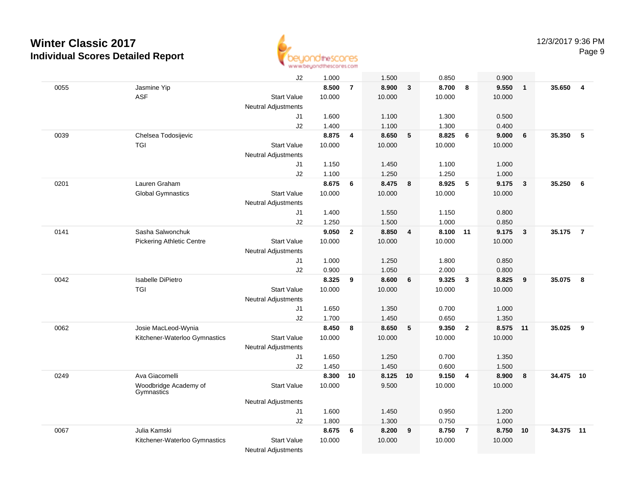

|      |                                  | J2                         | 1.000          |                | 1.500          |                | 0.850          |                         | 0.900          |              |        |                |
|------|----------------------------------|----------------------------|----------------|----------------|----------------|----------------|----------------|-------------------------|----------------|--------------|--------|----------------|
| 0055 | Jasmine Yip                      |                            | 8.500          | $\overline{7}$ | 8.900          | $\mathbf{3}$   | 8.700          | - 8                     | 9.550          | $\mathbf{1}$ | 35.650 | $\overline{4}$ |
|      | ASF                              | <b>Start Value</b>         | 10.000         |                | 10.000         |                | 10.000         |                         | 10.000         |              |        |                |
|      |                                  | <b>Neutral Adjustments</b> |                |                |                |                |                |                         |                |              |        |                |
|      |                                  | J1                         | 1.600          |                | 1.100          |                | 1.300          |                         | 0.500          |              |        |                |
|      |                                  | J2                         | 1.400          |                | 1.100          |                | 1.300          |                         | 0.400          |              |        |                |
| 0039 | Chelsea Todosijevic              |                            | 8.875          | 4              | 8.650          | 5              | 8.825          | 6                       | 9.000          | 6            | 35.350 | 5              |
|      | <b>TGI</b>                       | <b>Start Value</b>         | 10.000         |                | 10.000         |                | 10.000         |                         | 10.000         |              |        |                |
|      |                                  | <b>Neutral Adjustments</b> |                |                |                |                |                |                         |                |              |        |                |
|      |                                  | J1                         | 1.150          |                | 1.450          |                | 1.100          |                         | 1.000          |              |        |                |
|      |                                  | J2                         | 1.100          |                | 1.250          |                | 1.250          |                         | 1.000          |              |        |                |
| 0201 | Lauren Graham                    |                            | 8.675          | 6              | 8.475          | 8              | 8.925          | 5                       | 9.175          | $\mathbf{3}$ | 35.250 | 6              |
|      | <b>Global Gymnastics</b>         | <b>Start Value</b>         | 10.000         |                | 10.000         |                | 10.000         |                         | 10.000         |              |        |                |
|      |                                  | <b>Neutral Adjustments</b> |                |                |                |                |                |                         |                |              |        |                |
|      |                                  | J1                         | 1.400          |                | 1.550          |                | 1.150          |                         | 0.800          |              |        |                |
|      |                                  | J2                         | 1.250          |                | 1.500          |                | 1.000          |                         | 0.850          |              |        |                |
| 0141 | Sasha Salwonchuk                 |                            | 9.050          | $\overline{2}$ | 8.850          | $\overline{4}$ | 8.100 11       |                         | 9.175          | $\mathbf{3}$ | 35.175 | $\overline{7}$ |
|      | <b>Pickering Athletic Centre</b> | <b>Start Value</b>         | 10.000         |                | 10.000         |                | 10.000         |                         | 10.000         |              |        |                |
|      |                                  | <b>Neutral Adjustments</b> |                |                |                |                |                |                         |                |              |        |                |
|      |                                  | J1                         | 1.000          |                | 1.250          |                | 1.800          |                         | 0.850          |              |        |                |
|      |                                  | J2                         | 0.900          |                | 1.050          |                | 2.000          |                         | 0.800          |              |        |                |
| 0042 | <b>Isabelle DiPietro</b>         |                            | 8.325          | 9              | 8.600          | 6              | 9.325          | $\overline{\mathbf{3}}$ | 8.825          | 9            | 35.075 | 8              |
|      | <b>TGI</b>                       | <b>Start Value</b>         | 10.000         |                | 10.000         |                | 10.000         |                         | 10.000         |              |        |                |
|      |                                  | <b>Neutral Adjustments</b> |                |                |                |                |                |                         |                |              |        |                |
|      |                                  | J1                         | 1.650          |                | 1.350          |                | 0.700          |                         | 1.000          |              |        |                |
| 0062 | Josie MacLeod-Wynia              | J2                         | 1.700<br>8.450 | 8              | 1.450<br>8.650 | 5              | 0.650<br>9.350 | $\overline{2}$          | 1.350<br>8.575 | 11           | 35.025 | 9              |
|      | Kitchener-Waterloo Gymnastics    | <b>Start Value</b>         | 10.000         |                | 10.000         |                | 10.000         |                         | 10.000         |              |        |                |
|      |                                  | <b>Neutral Adjustments</b> |                |                |                |                |                |                         |                |              |        |                |
|      |                                  | J <sub>1</sub>             | 1.650          |                | 1.250          |                | 0.700          |                         | 1.350          |              |        |                |
|      |                                  | J2                         | 1.450          |                | 1.450          |                | 0.600          |                         | 1.500          |              |        |                |
| 0249 | Ava Giacomelli                   |                            | 8.300          | 10             | 8.125          | 10             | 9.150          | $\overline{4}$          | 8.900          | 8            | 34.475 | 10             |
|      | Woodbridge Academy of            | <b>Start Value</b>         | 10.000         |                | 9.500          |                | 10.000         |                         | 10.000         |              |        |                |
|      | Gymnastics                       |                            |                |                |                |                |                |                         |                |              |        |                |
|      |                                  | <b>Neutral Adjustments</b> |                |                |                |                |                |                         |                |              |        |                |
|      |                                  | J <sub>1</sub>             | 1.600          |                | 1.450          |                | 0.950          |                         | 1.200          |              |        |                |
|      |                                  | J2                         | 1.800          |                | 1.300          |                | 0.750          |                         | 1.000          |              |        |                |
| 0067 | Julia Kamski                     |                            | 8.675          | 6              | 8.200          | 9              | 8.750          | $\overline{7}$          | 8.750          | 10           | 34.375 | 11             |
|      | Kitchener-Waterloo Gymnastics    | <b>Start Value</b>         | 10.000         |                | 10.000         |                | 10.000         |                         | 10.000         |              |        |                |
|      |                                  | <b>Neutral Adjustments</b> |                |                |                |                |                |                         |                |              |        |                |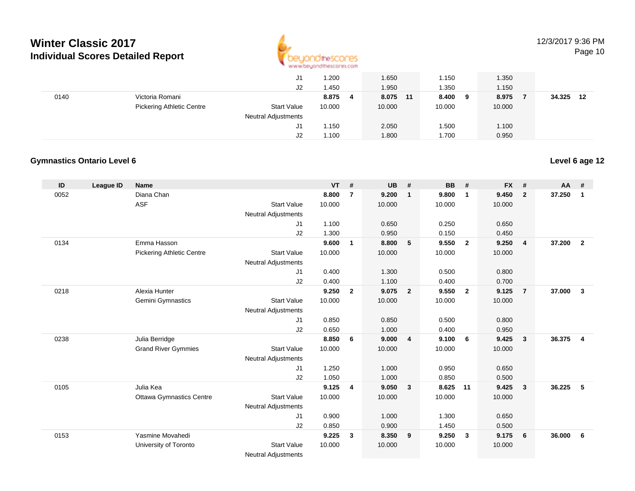

#### 12/3/2017 9:36 PM

Page 10

|      | J1                                                     | 1.200      | 1.650    | .150         | 1.350  |              |
|------|--------------------------------------------------------|------------|----------|--------------|--------|--------------|
|      | J2                                                     | 1.450      | 1.950    | .350         | 1.150  |              |
| 0140 | Victoria Romani                                        | 8.875<br>4 | 8.075 11 | 8.400<br>- 9 | 8.975  | 34.325<br>12 |
|      | <b>Pickering Athletic Centre</b><br><b>Start Value</b> | 10.000     | 10.000   | 10.000       | 10.000 |              |
|      | <b>Neutral Adjustments</b>                             |            |          |              |        |              |
|      | J1                                                     | 1.150      | 2.050    | .500         | 1.100  |              |
|      | J2                                                     | 1.100      | 1.800    | .700         | 0.950  |              |

#### **Gymnastics Ontario Level 6**

| ID   | League ID | <b>Name</b>                      |                            | <b>VT</b> | #              | <b>UB</b> | #                       | <b>BB</b> | #              | <b>FX</b> | #                       | AA     | #              |
|------|-----------|----------------------------------|----------------------------|-----------|----------------|-----------|-------------------------|-----------|----------------|-----------|-------------------------|--------|----------------|
| 0052 |           | Diana Chan                       |                            | 8.800     | $\overline{7}$ | 9.200     | $\mathbf{1}$            | 9.800     | $\mathbf{1}$   | 9.450     | $\overline{2}$          | 37.250 | $\mathbf{1}$   |
|      |           | <b>ASF</b>                       | <b>Start Value</b>         | 10.000    |                | 10.000    |                         | 10.000    |                | 10.000    |                         |        |                |
|      |           |                                  | <b>Neutral Adjustments</b> |           |                |           |                         |           |                |           |                         |        |                |
|      |           |                                  | J1                         | 1.100     |                | 0.650     |                         | 0.250     |                | 0.650     |                         |        |                |
|      |           |                                  | J <sub>2</sub>             | 1.300     |                | 0.950     |                         | 0.150     |                | 0.450     |                         |        |                |
| 0134 |           | Emma Hasson                      |                            | 9.600     | $\mathbf{1}$   | 8.800     | 5                       | 9.550     | $\overline{2}$ | 9.250     | $\overline{4}$          | 37.200 | $\overline{2}$ |
|      |           | <b>Pickering Athletic Centre</b> | <b>Start Value</b>         | 10.000    |                | 10.000    |                         | 10.000    |                | 10.000    |                         |        |                |
|      |           |                                  | <b>Neutral Adjustments</b> |           |                |           |                         |           |                |           |                         |        |                |
|      |           |                                  | J1                         | 0.400     |                | 1.300     |                         | 0.500     |                | 0.800     |                         |        |                |
|      |           |                                  | J2                         | 0.400     |                | 1.100     |                         | 0.400     |                | 0.700     |                         |        |                |
| 0218 |           | Alexia Hunter                    |                            | 9.250     | $\overline{2}$ | 9.075     | $\overline{\mathbf{2}}$ | 9.550     | $\overline{2}$ | 9.125     | $\overline{7}$          | 37.000 | $\mathbf{3}$   |
|      |           | Gemini Gymnastics                | <b>Start Value</b>         | 10.000    |                | 10.000    |                         | 10.000    |                | 10.000    |                         |        |                |
|      |           |                                  | <b>Neutral Adjustments</b> |           |                |           |                         |           |                |           |                         |        |                |
|      |           |                                  | J1                         | 0.850     |                | 0.850     |                         | 0.500     |                | 0.800     |                         |        |                |
|      |           |                                  | J2                         | 0.650     |                | 1.000     |                         | 0.400     |                | 0.950     |                         |        |                |
| 0238 |           | Julia Berridge                   |                            | 8.850     | 6              | 9.000     | $\overline{4}$          | 9.100     | 6              | 9.425     | $\mathbf{3}$            | 36.375 | $\overline{4}$ |
|      |           | <b>Grand River Gymmies</b>       | <b>Start Value</b>         | 10.000    |                | 10.000    |                         | 10.000    |                | 10.000    |                         |        |                |
|      |           |                                  | <b>Neutral Adjustments</b> |           |                |           |                         |           |                |           |                         |        |                |
|      |           |                                  | J1                         | 1.250     |                | 1.000     |                         | 0.950     |                | 0.650     |                         |        |                |
|      |           |                                  | J2                         | 1.050     |                | 1.000     |                         | 0.850     |                | 0.500     |                         |        |                |
| 0105 |           | Julia Kea                        |                            | 9.125     | 4              | 9.050     | $\overline{\mathbf{3}}$ | 8.625     | 11             | 9.425     | $\overline{\mathbf{3}}$ | 36.225 | - 5            |
|      |           | <b>Ottawa Gymnastics Centre</b>  | <b>Start Value</b>         | 10.000    |                | 10.000    |                         | 10.000    |                | 10.000    |                         |        |                |
|      |           |                                  | <b>Neutral Adjustments</b> |           |                |           |                         |           |                |           |                         |        |                |
|      |           |                                  | J1                         | 0.900     |                | 1.000     |                         | 1.300     |                | 0.650     |                         |        |                |
|      |           |                                  | J <sub>2</sub>             | 0.850     |                | 0.900     |                         | 1.450     |                | 0.500     |                         |        |                |
| 0153 |           | Yasmine Movahedi                 |                            | 9.225     | 3              | 8.350     | 9                       | 9.250     | $\mathbf{3}$   | 9.175     | 6                       | 36.000 | - 6            |
|      |           | University of Toronto            | <b>Start Value</b>         | 10.000    |                | 10.000    |                         | 10.000    |                | 10.000    |                         |        |                |
|      |           |                                  | Marshall Additional and a  |           |                |           |                         |           |                |           |                         |        |                |

Neutral Adjustments

#### **Level 6 age 12**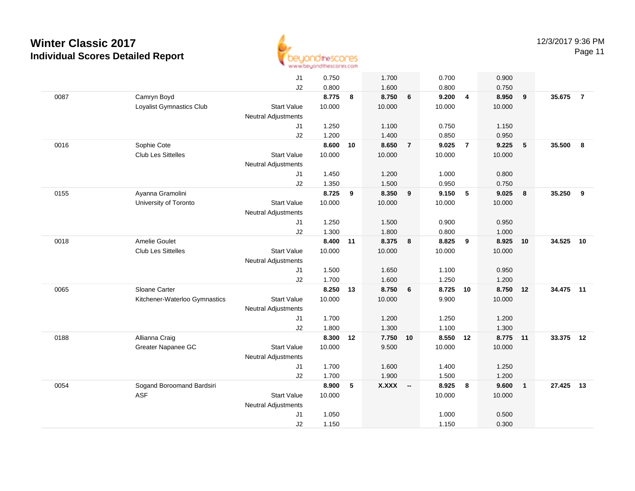

Page 11

|      |                               | J1                         | 0.750    |    | 1.700    |                | 0.700    |                         | 0.900    |                         |           |                |
|------|-------------------------------|----------------------------|----------|----|----------|----------------|----------|-------------------------|----------|-------------------------|-----------|----------------|
|      |                               | J2                         | 0.800    |    | 1.600    |                | 0.800    |                         | 0.750    |                         |           |                |
| 0087 | Camryn Boyd                   |                            | 8.775    | 8  | 8.750    | 6              | 9.200    | $\overline{4}$          | 8.950    | 9                       | 35.675    | $\overline{7}$ |
|      | Loyalist Gymnastics Club      | <b>Start Value</b>         | 10.000   |    | 10.000   |                | 10.000   |                         | 10.000   |                         |           |                |
|      |                               | <b>Neutral Adjustments</b> |          |    |          |                |          |                         |          |                         |           |                |
|      |                               | J1                         | 1.250    |    | 1.100    |                | 0.750    |                         | 1.150    |                         |           |                |
|      |                               | J2                         | 1.200    |    | 1.400    |                | 0.850    |                         | 0.950    |                         |           |                |
| 0016 | Sophie Cote                   |                            | 8.600    | 10 | 8.650    | $\overline{7}$ | 9.025    | $\overline{7}$          | 9.225    | 5                       | 35.500 8  |                |
|      | <b>Club Les Sittelles</b>     | <b>Start Value</b>         | 10.000   |    | 10.000   |                | 10.000   |                         | 10.000   |                         |           |                |
|      |                               | <b>Neutral Adjustments</b> |          |    |          |                |          |                         |          |                         |           |                |
|      |                               | J1                         | 1.450    |    | 1.200    |                | 1.000    |                         | 0.800    |                         |           |                |
|      |                               | J2                         | 1.350    |    | 1.500    |                | 0.950    |                         | 0.750    |                         |           |                |
| 0155 | Ayanna Gramolini              |                            | 8.725    | 9  | 8.350    | 9              | 9.150    | $-5$                    | 9.025    | 8                       | 35.250 9  |                |
|      | University of Toronto         | <b>Start Value</b>         | 10.000   |    | 10.000   |                | 10.000   |                         | 10.000   |                         |           |                |
|      |                               | Neutral Adjustments        |          |    |          |                |          |                         |          |                         |           |                |
|      |                               | J1                         | 1.250    |    | 1.500    |                | 0.900    |                         | 0.950    |                         |           |                |
|      |                               | J2                         | 1.300    |    | 1.800    |                | 0.800    |                         | 1.000    |                         |           |                |
| 0018 | Amelie Goulet                 |                            | 8.400 11 |    | 8.375 8  |                | 8.825    | 9                       | 8.925    | 10                      | 34.525    | 10             |
|      | <b>Club Les Sittelles</b>     | <b>Start Value</b>         | 10.000   |    | 10.000   |                | 10.000   |                         | 10.000   |                         |           |                |
|      |                               | <b>Neutral Adjustments</b> |          |    |          |                |          |                         |          |                         |           |                |
|      |                               | J1                         | 1.500    |    | 1.650    |                | 1.100    |                         | 0.950    |                         |           |                |
|      |                               | J2                         | 1.700    |    | 1.600    |                | 1.250    |                         | 1.200    |                         |           |                |
| 0065 | Sloane Carter                 |                            | 8.250    | 13 | 8.750    | 6              | 8.725 10 |                         | 8.750 12 |                         | 34.475 11 |                |
|      | Kitchener-Waterloo Gymnastics | <b>Start Value</b>         | 10.000   |    | 10.000   |                | 9.900    |                         | 10.000   |                         |           |                |
|      |                               | Neutral Adjustments        |          |    |          |                |          |                         |          |                         |           |                |
|      |                               | J1                         | 1.700    |    | 1.200    |                | 1.250    |                         | 1.200    |                         |           |                |
|      |                               | J2                         | 1.800    |    | 1.300    |                | 1.100    |                         | 1.300    |                         |           |                |
| 0188 | Allianna Craig                |                            | 8.300    | 12 | 7.750 10 |                | 8.550 12 |                         | 8.775    | 11                      | 33.375 12 |                |
|      | Greater Napanee GC            | <b>Start Value</b>         | 10.000   |    | 9.500    |                | 10.000   |                         | 10.000   |                         |           |                |
|      |                               | Neutral Adjustments        |          |    |          |                |          |                         |          |                         |           |                |
|      |                               | J1                         | 1.700    |    | 1.600    |                | 1.400    |                         | 1.250    |                         |           |                |
|      |                               | J2                         | 1.700    |    | 1.900    |                | 1.500    |                         | 1.200    |                         |           |                |
| 0054 | Sogand Boroomand Bardsiri     |                            | 8.900    | 5  | X.XXX -- |                | 8.925    | $\overline{\mathbf{8}}$ | 9.600    | $\overline{\mathbf{1}}$ | 27.425    | 13             |
|      | <b>ASF</b>                    | <b>Start Value</b>         | 10.000   |    |          |                | 10.000   |                         | 10.000   |                         |           |                |
|      |                               | <b>Neutral Adjustments</b> |          |    |          |                |          |                         |          |                         |           |                |
|      |                               | J1                         | 1.050    |    |          |                | 1.000    |                         | 0.500    |                         |           |                |
|      |                               | J2                         | 1.150    |    |          |                | 1.150    |                         | 0.300    |                         |           |                |
|      |                               |                            |          |    |          |                |          |                         |          |                         |           |                |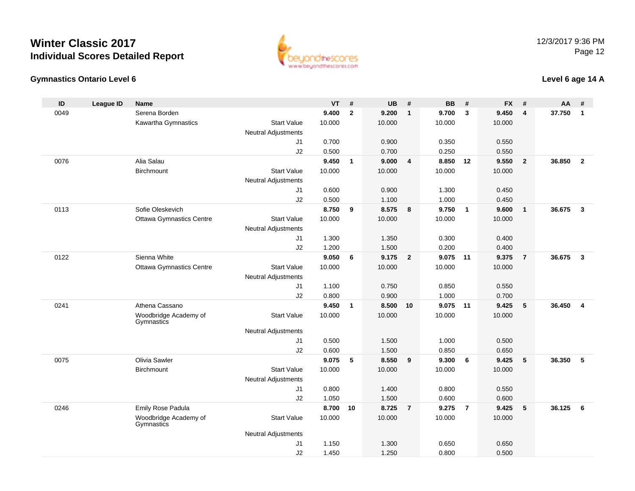



#### **Level 6 age 14 A**

| ID   | <b>League ID</b> | <b>Name</b>                         |                            | <b>VT</b>      | #              | <b>UB</b>      | #              | <b>BB</b>         | #              | <b>FX</b>      | #                       | AA     | #              |
|------|------------------|-------------------------------------|----------------------------|----------------|----------------|----------------|----------------|-------------------|----------------|----------------|-------------------------|--------|----------------|
| 0049 |                  | Serena Borden                       |                            | 9.400          | $\overline{2}$ | 9.200          | $\overline{1}$ | 9.700             | $\mathbf{3}$   | 9.450          | $\overline{\mathbf{4}}$ | 37.750 | $\mathbf{1}$   |
|      |                  | Kawartha Gymnastics                 | <b>Start Value</b>         | 10.000         |                | 10.000         |                | 10.000            |                | 10.000         |                         |        |                |
|      |                  |                                     | <b>Neutral Adjustments</b> |                |                |                |                |                   |                |                |                         |        |                |
|      |                  |                                     | J1                         | 0.700          |                | 0.900          |                | 0.350             |                | 0.550          |                         |        |                |
|      |                  |                                     | J2                         | 0.500          |                | 0.700          |                | 0.250             |                | 0.550          |                         |        |                |
| 0076 |                  | Alia Salau                          |                            | 9.450          | $\mathbf{1}$   | 9.000          | $\overline{4}$ | 8.850             | 12             | 9.550          | $\overline{2}$          | 36.850 | $\overline{2}$ |
|      |                  | Birchmount                          | <b>Start Value</b>         | 10.000         |                | 10.000         |                | 10.000            |                | 10.000         |                         |        |                |
|      |                  |                                     | <b>Neutral Adjustments</b> |                |                |                |                |                   |                |                |                         |        |                |
|      |                  |                                     | J1                         | 0.600          |                | 0.900          |                | 1.300             |                | 0.450          |                         |        |                |
|      |                  |                                     | J2                         | 0.500          |                | 1.100          |                | 1.000             |                | 0.450          |                         |        |                |
| 0113 |                  | Sofie Oleskevich                    |                            | 8.750          | 9              | 8.575          | 8              | 9.750             | $\overline{1}$ | 9.600          | $\mathbf{1}$            | 36.675 | $\mathbf{3}$   |
|      |                  | <b>Ottawa Gymnastics Centre</b>     | <b>Start Value</b>         | 10.000         |                | 10.000         |                | 10.000            |                | 10.000         |                         |        |                |
|      |                  |                                     | <b>Neutral Adjustments</b> |                |                |                |                |                   |                |                |                         |        |                |
|      |                  |                                     | J1                         | 1.300          |                | 1.350          |                | 0.300             |                | 0.400          |                         |        |                |
|      |                  |                                     | J2                         | 1.200          |                | 1.500          |                | 0.200             |                | 0.400          |                         |        |                |
| 0122 |                  | Sienna White                        |                            | 9.050          | 6              | 9.175          | $\overline{2}$ | 9.075 11          |                | 9.375          | $\overline{7}$          | 36.675 | $\mathbf{3}$   |
|      |                  | <b>Ottawa Gymnastics Centre</b>     | <b>Start Value</b>         | 10.000         |                | 10.000         |                | 10.000            |                | 10.000         |                         |        |                |
|      |                  |                                     | <b>Neutral Adjustments</b> |                |                |                |                |                   |                |                |                         |        |                |
|      |                  |                                     | J1                         | 1.100          |                | 0.750          |                | 0.850             |                | 0.550          |                         |        |                |
| 0241 |                  | Athena Cassano                      | J2                         | 0.800<br>9.450 | $\mathbf{1}$   | 0.900<br>8.500 | 10             | 1.000<br>9.075 11 |                | 0.700<br>9.425 | 5                       | 36.450 | $\overline{4}$ |
|      |                  | Woodbridge Academy of               | <b>Start Value</b>         | 10.000         |                | 10.000         |                | 10.000            |                | 10.000         |                         |        |                |
|      |                  | Gymnastics                          |                            |                |                |                |                |                   |                |                |                         |        |                |
|      |                  |                                     | <b>Neutral Adjustments</b> |                |                |                |                |                   |                |                |                         |        |                |
|      |                  |                                     | J <sub>1</sub>             | 0.500          |                | 1.500          |                | 1.000             |                | 0.500          |                         |        |                |
|      |                  |                                     | J2                         | 0.600          |                | 1.500          |                | 0.850             |                | 0.650          |                         |        |                |
| 0075 |                  | Olivia Sawler                       |                            | 9.075          | 5              | 8.550          | 9              | 9.300             | 6              | 9.425          | 5                       | 36.350 | 5              |
|      |                  | <b>Birchmount</b>                   | <b>Start Value</b>         | 10.000         |                | 10.000         |                | 10.000            |                | 10.000         |                         |        |                |
|      |                  |                                     | <b>Neutral Adjustments</b> |                |                |                |                |                   |                |                |                         |        |                |
|      |                  |                                     | J1                         | 0.800          |                | 1.400          |                | 0.800             |                | 0.550          |                         |        |                |
|      |                  |                                     | J2                         | 1.050          |                | 1.500          |                | 0.600             |                | 0.600          |                         |        |                |
| 0246 |                  | Emily Rose Padula                   |                            | 8.700          | 10             | 8.725          | $\overline{7}$ | 9.275             | $\overline{7}$ | 9.425          | 5                       | 36.125 | 6              |
|      |                  | Woodbridge Academy of<br>Gymnastics | <b>Start Value</b>         | 10.000         |                | 10.000         |                | 10.000            |                | 10.000         |                         |        |                |
|      |                  |                                     | <b>Neutral Adjustments</b> |                |                |                |                |                   |                |                |                         |        |                |
|      |                  |                                     | J1                         | 1.150          |                | 1.300          |                | 0.650             |                | 0.650          |                         |        |                |
|      |                  |                                     | J2                         | 1.450          |                | 1.250          |                | 0.800             |                | 0.500          |                         |        |                |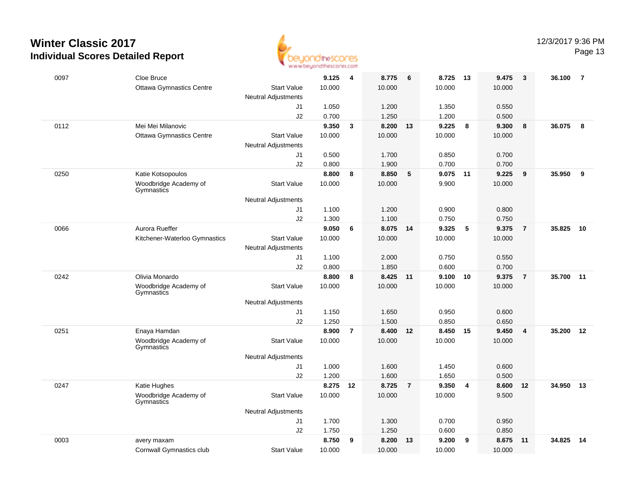

Page 13

| 0097 | Cloe Bruce                          |                            | 9.125          | 4              | 8.775          | 6              | 8.725          | - 13           | 9.475          | 3              | 36.100 | $\overline{7}$ |
|------|-------------------------------------|----------------------------|----------------|----------------|----------------|----------------|----------------|----------------|----------------|----------------|--------|----------------|
|      | <b>Ottawa Gymnastics Centre</b>     | <b>Start Value</b>         | 10.000         |                | 10.000         |                | 10.000         |                | 10.000         |                |        |                |
|      |                                     | <b>Neutral Adjustments</b> |                |                |                |                |                |                |                |                |        |                |
|      |                                     | J1<br>J2                   | 1.050<br>0.700 |                | 1.200<br>1.250 |                | 1.350<br>1.200 |                | 0.550<br>0.500 |                |        |                |
| 0112 | Mei Mei Milanovic                   |                            | 9.350          | $\mathbf{3}$   | 8.200          | 13             | 9.225          | 8              | 9.300          | 8              | 36.075 | 8              |
|      | <b>Ottawa Gymnastics Centre</b>     | <b>Start Value</b>         | 10.000         |                | 10.000         |                | 10.000         |                | 10.000         |                |        |                |
|      |                                     | <b>Neutral Adjustments</b> |                |                |                |                |                |                |                |                |        |                |
|      |                                     | J1                         | 0.500          |                | 1.700          |                | 0.850          |                | 0.700          |                |        |                |
|      |                                     | J2                         | 0.800          |                | 1.900          |                | 0.700          |                | 0.700          |                |        |                |
| 0250 | Katie Kotsopoulos                   |                            | 8.800          | 8              | 8.850          | 5              | 9.075          | 11             | 9.225          | 9              | 35.950 | 9              |
|      | Woodbridge Academy of<br>Gymnastics | <b>Start Value</b>         | 10.000         |                | 10.000         |                | 9.900          |                | 10.000         |                |        |                |
|      |                                     | <b>Neutral Adjustments</b> |                |                |                |                |                |                |                |                |        |                |
|      |                                     | J1                         | 1.100          |                | 1.200          |                | 0.900          |                | 0.800          |                |        |                |
|      |                                     | J2                         | 1.300          |                | 1.100          |                | 0.750          |                | 0.750          |                |        |                |
| 0066 | Aurora Rueffer                      |                            | 9.050          | 6              | 8.075 14       |                | 9.325          | 5              | 9.375          | $\overline{7}$ | 35.825 | 10             |
|      | Kitchener-Waterloo Gymnastics       | <b>Start Value</b>         | 10.000         |                | 10.000         |                | 10.000         |                | 10.000         |                |        |                |
|      |                                     | <b>Neutral Adjustments</b> |                |                |                |                |                |                |                |                |        |                |
|      |                                     | J1                         | 1.100<br>0.800 |                | 2.000<br>1.850 |                | 0.750<br>0.600 |                | 0.550<br>0.700 |                |        |                |
| 0242 | Olivia Monardo                      | J2                         | 8.800          | 8              | 8.425          | 11             | 9.100          | 10             | 9.375          | 7              | 35.700 | 11             |
|      | Woodbridge Academy of               | <b>Start Value</b>         | 10.000         |                | 10.000         |                | 10.000         |                | 10.000         |                |        |                |
|      | Gymnastics                          |                            |                |                |                |                |                |                |                |                |        |                |
|      |                                     | <b>Neutral Adjustments</b> |                |                |                |                |                |                |                |                |        |                |
|      |                                     | J1                         | 1.150          |                | 1.650          |                | 0.950          |                | 0.600          |                |        |                |
|      |                                     | J2                         | 1.250          |                | 1.500          |                | 0.850          |                | 0.650          |                |        |                |
| 0251 | Enaya Hamdan                        |                            | 8.900          | $\overline{7}$ | 8.400          | 12             | 8.450          | 15             | 9.450          | 4              | 35.200 | 12             |
|      | Woodbridge Academy of<br>Gymnastics | <b>Start Value</b>         | 10.000         |                | 10.000         |                | 10.000         |                | 10.000         |                |        |                |
|      |                                     | <b>Neutral Adjustments</b> |                |                |                |                |                |                |                |                |        |                |
|      |                                     | J1                         | 1.000          |                | 1.600          |                | 1.450          |                | 0.600          |                |        |                |
|      |                                     | J2                         | 1.200          |                | 1.600          |                | 1.650          |                | 0.500          |                |        |                |
| 0247 | Katie Hughes                        |                            | 8.275          | 12             | 8.725          | $\overline{7}$ | 9.350          | $\overline{4}$ | 8.600          | 12             | 34.950 | 13             |
|      | Woodbridge Academy of<br>Gymnastics | <b>Start Value</b>         | 10.000         |                | 10.000         |                | 10.000         |                | 9.500          |                |        |                |
|      |                                     | <b>Neutral Adjustments</b> |                |                |                |                |                |                |                |                |        |                |
|      |                                     | J1                         | 1.700          |                | 1.300          |                | 0.700          |                | 0.950          |                |        |                |
|      |                                     | J2                         | 1.750          |                | 1.250          |                | 0.600          |                | 0.850          |                |        |                |
| 0003 | avery maxam                         |                            | 8.750          | 9              | 8.200          | 13             | 9.200          | 9              | 8.675          | 11             | 34.825 | 14             |
|      | Cornwall Gymnastics club            | <b>Start Value</b>         | 10.000         |                | 10.000         |                | 10.000         |                | 10.000         |                |        |                |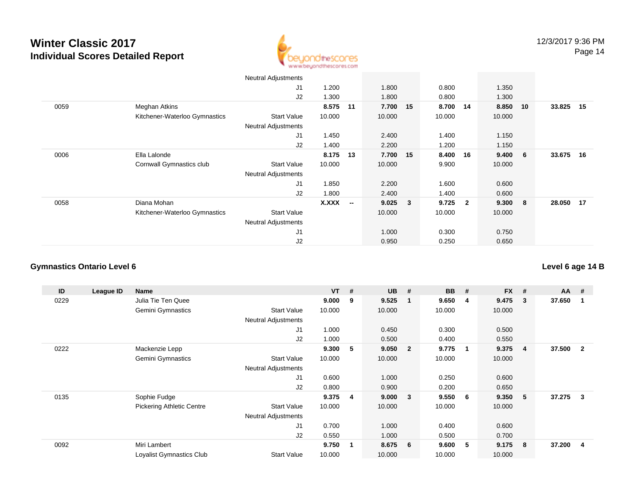

|      |                               | <b>Neutral Adjustments</b> |              |                          |          |              |        |                         |        |     |           |    |
|------|-------------------------------|----------------------------|--------------|--------------------------|----------|--------------|--------|-------------------------|--------|-----|-----------|----|
|      |                               | J1                         | 1.200        |                          | 1.800    |              | 0.800  |                         | 1.350  |     |           |    |
|      |                               | J2                         | 1.300        |                          | 1.800    |              | 0.800  |                         | 1.300  |     |           |    |
| 0059 | Meghan Atkins                 |                            | 8.575        | 11                       | 7.700 15 |              | 8.700  | 14                      | 8.850  | 10  | 33.825    | 15 |
|      | Kitchener-Waterloo Gymnastics | <b>Start Value</b>         | 10.000       |                          | 10.000   |              | 10.000 |                         | 10.000 |     |           |    |
|      |                               | <b>Neutral Adjustments</b> |              |                          |          |              |        |                         |        |     |           |    |
|      |                               | J1                         | 1.450        |                          | 2.400    |              | 1.400  |                         | 1.150  |     |           |    |
|      |                               | J2                         | 1.400        |                          | 2.200    |              | 1.200  |                         | 1.150  |     |           |    |
| 0006 | Ella Lalonde                  |                            | 8.175        | 13                       | 7.700 15 |              | 8.400  | 16                      | 9.400  | 6   | 33.675    | 16 |
|      | Cornwall Gymnastics club      | <b>Start Value</b>         | 10.000       |                          | 10.000   |              | 9.900  |                         | 10.000 |     |           |    |
|      |                               | <b>Neutral Adjustments</b> |              |                          |          |              |        |                         |        |     |           |    |
|      |                               | J1                         | 1.850        |                          | 2.200    |              | 1.600  |                         | 0.600  |     |           |    |
|      |                               | J2                         | 1.800        |                          | 2.400    |              | 1.400  |                         | 0.600  |     |           |    |
| 0058 | Diana Mohan                   |                            | <b>X.XXX</b> | $\overline{\phantom{a}}$ | 9.025    | $\mathbf{3}$ | 9.725  | $\overline{\mathbf{2}}$ | 9.300  | - 8 | 28.050 17 |    |
|      | Kitchener-Waterloo Gymnastics | <b>Start Value</b>         |              |                          | 10.000   |              | 10.000 |                         | 10.000 |     |           |    |
|      |                               | <b>Neutral Adjustments</b> |              |                          |          |              |        |                         |        |     |           |    |
|      |                               | J1                         |              |                          | 1.000    |              | 0.300  |                         | 0.750  |     |           |    |
|      |                               | J2                         |              |                          | 0.950    |              | 0.250  |                         | 0.650  |     |           |    |

#### **Gymnastics Ontario Level 6**

| ID   | League ID | Name                             |                            | <b>VT</b> | -#             | <b>UB</b> | #                       | <b>BB</b> | #           | <b>FX</b> | # | $AA$ # |                |
|------|-----------|----------------------------------|----------------------------|-----------|----------------|-----------|-------------------------|-----------|-------------|-----------|---|--------|----------------|
| 0229 |           | Julia Tie Ten Quee               |                            | 9.000     | 9              | 9.525     | -1                      | 9.650     | 4           | 9.475     | 3 | 37.650 | -1             |
|      |           | Gemini Gymnastics                | <b>Start Value</b>         | 10.000    |                | 10.000    |                         | 10.000    |             | 10.000    |   |        |                |
|      |           |                                  | <b>Neutral Adjustments</b> |           |                |           |                         |           |             |           |   |        |                |
|      |           |                                  | J1                         | 1.000     |                | 0.450     |                         | 0.300     |             | 0.500     |   |        |                |
|      |           |                                  | J2                         | 1.000     |                | 0.500     |                         | 0.400     |             | 0.550     |   |        |                |
| 0222 |           | Mackenzie Lepp                   |                            | 9.300     | 5              | 9.050     | $\overline{\mathbf{2}}$ | 9.775     | $\mathbf 1$ | 9.375     | 4 | 37.500 | $\overline{2}$ |
|      |           | Gemini Gymnastics                | <b>Start Value</b>         | 10.000    |                | 10.000    |                         | 10.000    |             | 10.000    |   |        |                |
|      |           |                                  | <b>Neutral Adjustments</b> |           |                |           |                         |           |             |           |   |        |                |
|      |           |                                  | J1                         | 0.600     |                | 1.000     |                         | 0.250     |             | 0.600     |   |        |                |
|      |           |                                  | J2                         | 0.800     |                | 0.900     |                         | 0.200     |             | 0.650     |   |        |                |
| 0135 |           | Sophie Fudge                     |                            | 9.375     | -4             | 9.000     | - 3                     | 9.550     | 6           | 9.350     | 5 | 37.275 | 3              |
|      |           | <b>Pickering Athletic Centre</b> | <b>Start Value</b>         | 10.000    |                | 10.000    |                         | 10.000    |             | 10.000    |   |        |                |
|      |           |                                  | Neutral Adjustments        |           |                |           |                         |           |             |           |   |        |                |
|      |           |                                  | J1                         | 0.700     |                | 1.000     |                         | 0.400     |             | 0.600     |   |        |                |
|      |           |                                  | J2                         | 0.550     |                | 1.000     |                         | 0.500     |             | 0.700     |   |        |                |
| 0092 |           | Miri Lambert                     |                            | 9.750     | $\overline{1}$ | 8.675     | - 6                     | 9.600     | 5           | 9.175     | 8 | 37.200 | 4              |
|      |           | Loyalist Gymnastics Club         | <b>Start Value</b>         | 10.000    |                | 10.000    |                         | 10.000    |             | 10.000    |   |        |                |

**Level 6 age 14 B**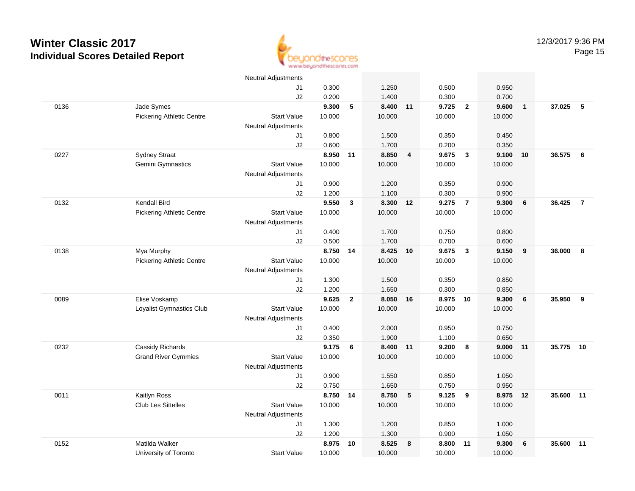

|      |                                  | <b>Neutral Adjustments</b> |        |              |        |                |        |                         |        |                |           |                |
|------|----------------------------------|----------------------------|--------|--------------|--------|----------------|--------|-------------------------|--------|----------------|-----------|----------------|
|      |                                  | J1                         | 0.300  |              | 1.250  |                | 0.500  |                         | 0.950  |                |           |                |
|      |                                  | J2                         | 0.200  |              | 1.400  |                | 0.300  |                         | 0.700  |                |           |                |
| 0136 | Jade Symes                       |                            | 9.300  | $\sqrt{5}$   | 8.400  | 11             | 9.725  | $\overline{2}$          | 9.600  | $\overline{1}$ | 37.025    | 5              |
|      | <b>Pickering Athletic Centre</b> | <b>Start Value</b>         | 10.000 |              | 10.000 |                | 10.000 |                         | 10.000 |                |           |                |
|      |                                  | <b>Neutral Adjustments</b> |        |              |        |                |        |                         |        |                |           |                |
|      |                                  | J1                         | 0.800  |              | 1.500  |                | 0.350  |                         | 0.450  |                |           |                |
|      |                                  | J2                         | 0.600  |              | 1.700  |                | 0.200  |                         | 0.350  |                |           |                |
| 0227 | <b>Sydney Straat</b>             |                            | 8.950  | 11           | 8.850  | $\overline{4}$ | 9.675  | $\overline{\mathbf{3}}$ | 9.100  | 10             | 36.575    | 6              |
|      | Gemini Gymnastics                | <b>Start Value</b>         | 10.000 |              | 10.000 |                | 10.000 |                         | 10.000 |                |           |                |
|      |                                  | <b>Neutral Adjustments</b> |        |              |        |                |        |                         |        |                |           |                |
|      |                                  | J1                         | 0.900  |              | 1.200  |                | 0.350  |                         | 0.900  |                |           |                |
|      |                                  | J2                         | 1.200  |              | 1.100  |                | 0.300  |                         | 0.900  |                |           |                |
| 0132 | Kendall Bird                     |                            | 9.550  | $\mathbf{3}$ | 8.300  | 12             | 9.275  | $\overline{7}$          | 9.300  | 6              | 36.425    | $\overline{7}$ |
|      | <b>Pickering Athletic Centre</b> | <b>Start Value</b>         | 10.000 |              | 10.000 |                | 10.000 |                         | 10.000 |                |           |                |
|      |                                  | <b>Neutral Adjustments</b> |        |              |        |                |        |                         |        |                |           |                |
|      |                                  | J1                         | 0.400  |              | 1.700  |                | 0.750  |                         | 0.800  |                |           |                |
|      |                                  | J2                         | 0.500  |              | 1.700  |                | 0.700  |                         | 0.600  |                |           |                |
| 0138 | Mya Murphy                       |                            | 8.750  | 14           | 8.425  | 10             | 9.675  | $\mathbf{3}$            | 9.150  | 9              | 36.000    | 8              |
|      | <b>Pickering Athletic Centre</b> | <b>Start Value</b>         | 10.000 |              | 10.000 |                | 10.000 |                         | 10.000 |                |           |                |
|      |                                  | <b>Neutral Adjustments</b> |        |              |        |                |        |                         |        |                |           |                |
|      |                                  | J1                         | 1.300  |              | 1.500  |                | 0.350  |                         | 0.850  |                |           |                |
|      |                                  | J2                         | 1.200  |              | 1.650  |                | 0.300  |                         | 0.850  |                |           |                |
| 0089 | Elise Voskamp                    |                            | 9.625  | $\mathbf{2}$ | 8.050  | 16             | 8.975  | 10                      | 9.300  | 6              | 35.950    | 9              |
|      | Loyalist Gymnastics Club         | <b>Start Value</b>         | 10.000 |              | 10.000 |                | 10.000 |                         | 10.000 |                |           |                |
|      |                                  | <b>Neutral Adjustments</b> |        |              |        |                |        |                         |        |                |           |                |
|      |                                  | J1                         | 0.400  |              | 2.000  |                | 0.950  |                         | 0.750  |                |           |                |
|      |                                  | J2                         | 0.350  |              | 1.900  |                | 1.100  |                         | 0.650  |                |           |                |
| 0232 | Cassidy Richards                 |                            | 9.175  | 6            | 8.400  | 11             | 9.200  | 8                       | 9.000  | 11             | 35.775 10 |                |
|      | <b>Grand River Gymmies</b>       | <b>Start Value</b>         | 10.000 |              | 10.000 |                | 10.000 |                         | 10.000 |                |           |                |
|      |                                  | <b>Neutral Adjustments</b> |        |              |        |                |        |                         |        |                |           |                |
|      |                                  | J1                         | 0.900  |              | 1.550  |                | 0.850  |                         | 1.050  |                |           |                |
|      |                                  | J2                         | 0.750  |              | 1.650  |                | 0.750  |                         | 0.950  |                |           |                |
| 0011 | Kaitlyn Ross                     |                            | 8.750  | 14           | 8.750  | 5              | 9.125  | 9                       | 8.975  | 12             | 35.600    | 11             |
|      | Club Les Sittelles               | <b>Start Value</b>         | 10.000 |              | 10.000 |                | 10.000 |                         | 10.000 |                |           |                |
|      |                                  | <b>Neutral Adjustments</b> |        |              |        |                |        |                         |        |                |           |                |
|      |                                  | J1                         | 1.300  |              | 1.200  |                | 0.850  |                         | 1.000  |                |           |                |
|      |                                  | J2                         | 1.200  |              | 1.300  |                | 0.900  |                         | 1.050  |                |           |                |
| 0152 | Matilda Walker                   |                            | 8.975  | 10           | 8.525  | 8              | 8.800  | 11                      | 9.300  | 6              | 35.600    | 11             |
|      | University of Toronto            | <b>Start Value</b>         | 10.000 |              | 10.000 |                | 10.000 |                         | 10.000 |                |           |                |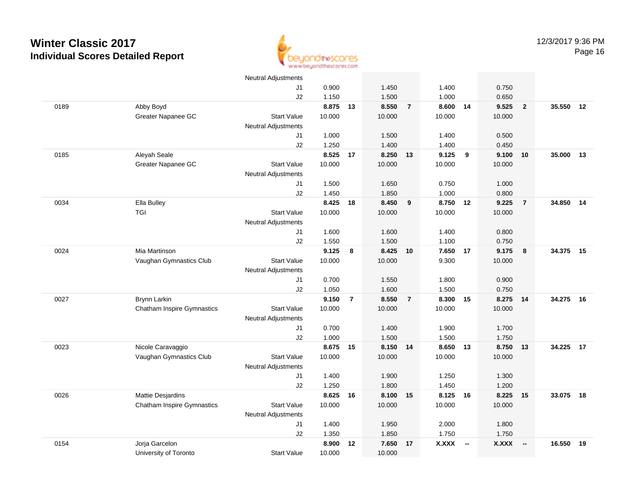

|      |                                   | <b>Neutral Adjustments</b> |          |                |          |                |              |                          |              |                          |        |    |
|------|-----------------------------------|----------------------------|----------|----------------|----------|----------------|--------------|--------------------------|--------------|--------------------------|--------|----|
|      |                                   | J1                         | 0.900    |                | 1.450    |                | 1.400        |                          | 0.750        |                          |        |    |
|      |                                   | J2                         | 1.150    |                | 1.500    |                | 1.000        |                          | 0.650        |                          |        |    |
| 0189 | Abby Boyd                         |                            | 8.875    | 13             | 8.550    | $\overline{7}$ | 8.600 14     |                          | 9.525        | $\overline{2}$           | 35.550 | 12 |
|      | Greater Napanee GC                | <b>Start Value</b>         | 10.000   |                | 10.000   |                | 10.000       |                          | 10.000       |                          |        |    |
|      |                                   | <b>Neutral Adjustments</b> |          |                |          |                |              |                          |              |                          |        |    |
|      |                                   | J1                         | 1.000    |                | 1.500    |                | 1.400        |                          | 0.500        |                          |        |    |
|      |                                   | J2                         | 1.250    |                | 1.400    |                | 1.400        |                          | 0.450        |                          |        |    |
| 0185 | Aleyah Seale                      |                            | 8.525    | 17             | 8.250    | 13             | 9.125        | - 9                      | 9.100        | 10                       | 35.000 | 13 |
|      | Greater Napanee GC                | <b>Start Value</b>         | 10.000   |                | 10.000   |                | 10.000       |                          | 10.000       |                          |        |    |
|      |                                   | <b>Neutral Adjustments</b> |          |                |          |                |              |                          |              |                          |        |    |
|      |                                   | J1                         | 1.500    |                | 1.650    |                | 0.750        |                          | 1.000        |                          |        |    |
|      |                                   | J2                         | 1.450    |                | 1.850    |                | 1.000        |                          | 0.800        |                          |        |    |
| 0034 | Ella Bulley                       |                            | 8.425 18 |                | 8.450    | 9              | 8.750 12     |                          | 9.225        | $\overline{7}$           | 34.850 | 14 |
|      | <b>TGI</b>                        | <b>Start Value</b>         | 10.000   |                | 10.000   |                | 10.000       |                          | 10.000       |                          |        |    |
|      |                                   | <b>Neutral Adjustments</b> |          |                |          |                |              |                          |              |                          |        |    |
|      |                                   | J1                         | 1.600    |                | 1.600    |                | 1.400        |                          | 0.800        |                          |        |    |
|      |                                   | J2                         | 1.550    |                | 1.500    |                | 1.100        |                          | 0.750        |                          |        |    |
| 0024 | Mia Martinson                     |                            | 9.125    | 8              | 8.425    | 10             | 7.650        | 17                       | 9.175        | 8                        | 34.375 | 15 |
|      | Vaughan Gymnastics Club           | <b>Start Value</b>         | 10.000   |                | 10.000   |                | 9.300        |                          | 10.000       |                          |        |    |
|      |                                   | <b>Neutral Adjustments</b> |          |                |          |                |              |                          |              |                          |        |    |
|      |                                   | J1                         | 0.700    |                | 1.550    |                | 1.800        |                          | 0.900        |                          |        |    |
|      |                                   | J2                         | 1.050    |                | 1.600    |                | 1.500        |                          | 0.750        |                          |        |    |
| 0027 | Brynn Larkin                      |                            | 9.150    | $\overline{7}$ | 8.550    | $\overline{7}$ | 8.300        | 15                       | 8.275        | 14                       | 34.275 | 16 |
|      | <b>Chatham Inspire Gymnastics</b> | <b>Start Value</b>         | 10.000   |                | 10.000   |                | 10.000       |                          | 10.000       |                          |        |    |
|      |                                   | <b>Neutral Adjustments</b> |          |                |          |                |              |                          |              |                          |        |    |
|      |                                   | J1                         | 0.700    |                | 1.400    |                | 1.900        |                          | 1.700        |                          |        |    |
|      |                                   | J2                         | 1.000    |                | 1.500    |                | 1.500        |                          | 1.750        |                          |        |    |
| 0023 | Nicole Caravaggio                 |                            | 8.675 15 |                | 8.150 14 |                | 8.650 13     |                          | 8.750        | 13                       | 34.225 | 17 |
|      | Vaughan Gymnastics Club           | <b>Start Value</b>         | 10.000   |                | 10.000   |                | 10.000       |                          | 10.000       |                          |        |    |
|      |                                   | <b>Neutral Adjustments</b> |          |                |          |                |              |                          |              |                          |        |    |
|      |                                   | J1                         | 1.400    |                | 1.900    |                | 1.250        |                          | 1.300        |                          |        |    |
|      |                                   | J2                         | 1.250    |                | 1.800    |                | 1.450        |                          | 1.200        |                          |        |    |
| 0026 | Mattie Desjardins                 |                            | 8.625    | 16             | 8.100    | 15             | 8.125        | 16                       | 8.225        | 15                       | 33.075 | 18 |
|      | <b>Chatham Inspire Gymnastics</b> | <b>Start Value</b>         | 10.000   |                | 10.000   |                | 10.000       |                          | 10.000       |                          |        |    |
|      |                                   | <b>Neutral Adjustments</b> |          |                |          |                |              |                          |              |                          |        |    |
|      |                                   | J1                         | 1.400    |                | 1.950    |                | 2.000        |                          | 1.800        |                          |        |    |
|      |                                   | J2                         | 1.350    |                | 1.850    |                | 1.750        |                          | 1.750        |                          |        |    |
| 0154 | Jorja Garcelon                    |                            | 8.900    | 12             | 7.650    | 17             | <b>X.XXX</b> | $\overline{\phantom{a}}$ | <b>X.XXX</b> | $\overline{\phantom{a}}$ | 16.550 | 19 |
|      | University of Toronto             | <b>Start Value</b>         | 10.000   |                | 10.000   |                |              |                          |              |                          |        |    |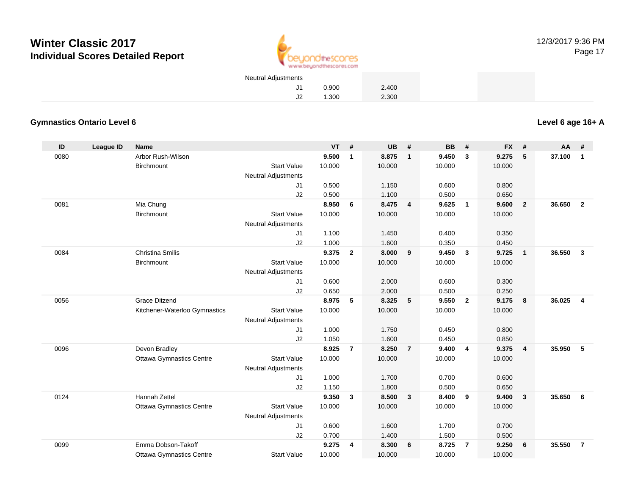

| Neutral Adjustments |       |       |  |
|---------------------|-------|-------|--|
| J1.                 | 0.900 | 2.400 |  |
| J2                  | .300  | 2.300 |  |

#### **Gymnastics Ontario Level 6**

**Level 6 age 16+ A**

| ID   | <b>League ID</b> | <b>Name</b>                     |                            | <b>VT</b> | #              | <b>UB</b> | #                       | <b>BB</b> | #                       | <b>FX</b> | #                       | AA     | #              |
|------|------------------|---------------------------------|----------------------------|-----------|----------------|-----------|-------------------------|-----------|-------------------------|-----------|-------------------------|--------|----------------|
| 0080 |                  | Arbor Rush-Wilson               |                            | 9.500     | $\mathbf{1}$   | 8.875     | $\overline{1}$          | 9.450     | $\mathbf{3}$            | 9.275     | 5                       | 37.100 | $\mathbf{1}$   |
|      |                  | <b>Birchmount</b>               | <b>Start Value</b>         | 10.000    |                | 10.000    |                         | 10.000    |                         | 10.000    |                         |        |                |
|      |                  |                                 | <b>Neutral Adjustments</b> |           |                |           |                         |           |                         |           |                         |        |                |
|      |                  |                                 | J1                         | 0.500     |                | 1.150     |                         | 0.600     |                         | 0.800     |                         |        |                |
|      |                  |                                 | J2                         | 0.500     |                | 1.100     |                         | 0.500     |                         | 0.650     |                         |        |                |
| 0081 |                  | Mia Chung                       |                            | 8.950     | 6              | 8.475     | $\overline{\mathbf{4}}$ | 9.625     | $\overline{1}$          | 9.600     | $\overline{2}$          | 36.650 | $\overline{2}$ |
|      |                  | Birchmount                      | <b>Start Value</b>         | 10.000    |                | 10.000    |                         | 10.000    |                         | 10.000    |                         |        |                |
|      |                  |                                 | Neutral Adjustments        |           |                |           |                         |           |                         |           |                         |        |                |
|      |                  |                                 | J1                         | 1.100     |                | 1.450     |                         | 0.400     |                         | 0.350     |                         |        |                |
|      |                  |                                 | J2                         | 1.000     |                | 1.600     |                         | 0.350     |                         | 0.450     |                         |        |                |
| 0084 |                  | <b>Christina Smilis</b>         |                            | 9.375     | $\mathbf{2}$   | 8.000     | 9                       | 9.450     | $\overline{\mathbf{3}}$ | 9.725     | $\mathbf{1}$            | 36.550 | $\mathbf{3}$   |
|      |                  | Birchmount                      | <b>Start Value</b>         | 10.000    |                | 10.000    |                         | 10.000    |                         | 10.000    |                         |        |                |
|      |                  |                                 | <b>Neutral Adjustments</b> |           |                |           |                         |           |                         |           |                         |        |                |
|      |                  |                                 | J1                         | 0.600     |                | 2.000     |                         | 0.600     |                         | 0.300     |                         |        |                |
|      |                  |                                 | J2                         | 0.650     |                | 2.000     |                         | 0.500     |                         | 0.250     |                         |        |                |
| 0056 |                  | <b>Grace Ditzend</b>            |                            | 8.975     | 5              | 8.325     | 5                       | 9.550     | $\overline{2}$          | 9.175     | 8                       | 36.025 | $\overline{4}$ |
|      |                  | Kitchener-Waterloo Gymnastics   | <b>Start Value</b>         | 10.000    |                | 10.000    |                         | 10.000    |                         | 10.000    |                         |        |                |
|      |                  |                                 | <b>Neutral Adjustments</b> |           |                |           |                         |           |                         |           |                         |        |                |
|      |                  |                                 | J1                         | 1.000     |                | 1.750     |                         | 0.450     |                         | 0.800     |                         |        |                |
|      |                  |                                 | J2                         | 1.050     |                | 1.600     |                         | 0.450     |                         | 0.850     |                         |        |                |
| 0096 |                  | Devon Bradley                   |                            | 8.925     | $\overline{7}$ | 8.250     | $\overline{7}$          | 9.400     | $\overline{4}$          | 9.375     | $\overline{\mathbf{4}}$ | 35.950 | 5              |
|      |                  | <b>Ottawa Gymnastics Centre</b> | <b>Start Value</b>         | 10.000    |                | 10.000    |                         | 10.000    |                         | 10.000    |                         |        |                |
|      |                  |                                 | Neutral Adjustments        |           |                |           |                         |           |                         |           |                         |        |                |
|      |                  |                                 | J1                         | 1.000     |                | 1.700     |                         | 0.700     |                         | 0.600     |                         |        |                |
|      |                  |                                 | J2                         | 1.150     |                | 1.800     |                         | 0.500     |                         | 0.650     |                         |        |                |
| 0124 |                  | <b>Hannah Zettel</b>            |                            | 9.350     | $\mathbf{3}$   | 8.500     | $\overline{\mathbf{3}}$ | 8.400     | - 9                     | 9.400     | 3                       | 35.650 | 6              |
|      |                  | <b>Ottawa Gymnastics Centre</b> | <b>Start Value</b>         | 10.000    |                | 10.000    |                         | 10.000    |                         | 10.000    |                         |        |                |
|      |                  |                                 | <b>Neutral Adjustments</b> |           |                |           |                         |           |                         |           |                         |        |                |
|      |                  |                                 | J1                         | 0.600     |                | 1.600     |                         | 1.700     |                         | 0.700     |                         |        |                |
|      |                  |                                 | J2                         | 0.700     |                | 1.400     |                         | 1.500     |                         | 0.500     |                         |        |                |
| 0099 |                  | Emma Dobson-Takoff              |                            | 9.275     | 4              | 8.300     | 6                       | 8.725     | $\overline{7}$          | 9.250     | 6                       | 35.550 | $\overline{7}$ |
|      |                  | <b>Ottawa Gymnastics Centre</b> | <b>Start Value</b>         | 10.000    |                | 10.000    |                         | 10.000    |                         | 10.000    |                         |        |                |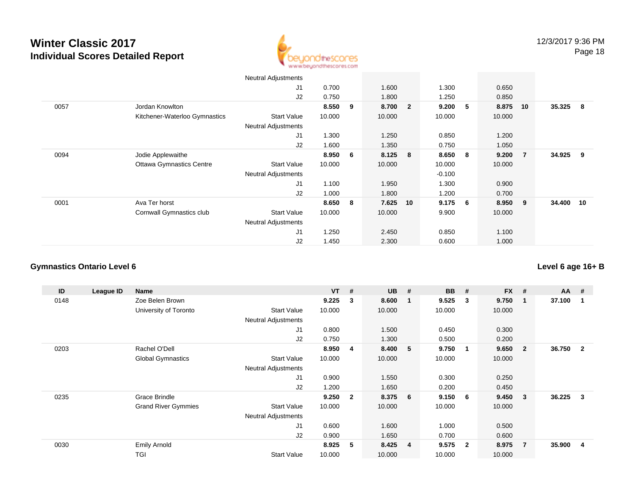

|      |                                 | <b>Neutral Adjustments</b> |        |     |        |                         |          |                |        |                |        |     |
|------|---------------------------------|----------------------------|--------|-----|--------|-------------------------|----------|----------------|--------|----------------|--------|-----|
|      |                                 | J1                         | 0.700  |     | 1.600  |                         | 1.300    |                | 0.650  |                |        |     |
|      |                                 | J2                         | 0.750  |     | 1.800  |                         | 1.250    |                | 0.850  |                |        |     |
| 0057 | Jordan Knowlton                 |                            | 8.550  | 9   | 8.700  | $\overline{\mathbf{2}}$ | 9.200    | 5              | 8.875  | 10             | 35.325 | - 8 |
|      | Kitchener-Waterloo Gymnastics   | <b>Start Value</b>         | 10.000 |     | 10.000 |                         | 10.000   |                | 10.000 |                |        |     |
|      |                                 | <b>Neutral Adjustments</b> |        |     |        |                         |          |                |        |                |        |     |
|      |                                 | J1                         | 1.300  |     | 1.250  |                         | 0.850    |                | 1.200  |                |        |     |
|      |                                 | J2                         | 1.600  |     | 1.350  |                         | 0.750    |                | 1.050  |                |        |     |
| 0094 | Jodie Applewaithe               |                            | 8.950  | - 6 | 8.125  | 8                       | 8.650    | - 8            | 9.200  | $\overline{7}$ | 34.925 | 9   |
|      | <b>Ottawa Gymnastics Centre</b> | <b>Start Value</b>         | 10.000 |     | 10.000 |                         | 10.000   |                | 10.000 |                |        |     |
|      |                                 | <b>Neutral Adjustments</b> |        |     |        |                         | $-0.100$ |                |        |                |        |     |
|      |                                 | J1                         | 1.100  |     | 1.950  |                         | 1.300    |                | 0.900  |                |        |     |
|      |                                 | J2                         | 1.000  |     | 1.800  |                         | 1.200    |                | 0.700  |                |        |     |
| 0001 | Ava Ter horst                   |                            | 8.650  | - 8 | 7.625  | 10                      | 9.175    | 6 <sup>1</sup> | 8.950  | - 9            | 34.400 | 10  |
|      | Cornwall Gymnastics club        | <b>Start Value</b>         | 10.000 |     | 10.000 |                         | 9.900    |                | 10.000 |                |        |     |
|      |                                 | <b>Neutral Adjustments</b> |        |     |        |                         |          |                |        |                |        |     |
|      |                                 | J1                         | 1.250  |     | 2.450  |                         | 0.850    |                | 1.100  |                |        |     |
|      |                                 | J2                         | 1.450  |     | 2.300  |                         | 0.600    |                | 1.000  |                |        |     |

#### **Gymnastics Ontario Level 6**

| ID   | League ID | Name                       |                            | <b>VT</b> | #              | <b>UB</b> | #           | <b>BB</b> | #              | $FX$ # |                | $AA$ # |                         |
|------|-----------|----------------------------|----------------------------|-----------|----------------|-----------|-------------|-----------|----------------|--------|----------------|--------|-------------------------|
| 0148 |           | Zoe Belen Brown            |                            | 9.225     | 3              | 8.600     | $\mathbf 1$ | 9.525     | 3              | 9.750  | 1              | 37.100 | -1                      |
|      |           | University of Toronto      | <b>Start Value</b>         | 10.000    |                | 10.000    |             | 10.000    |                | 10.000 |                |        |                         |
|      |           |                            | <b>Neutral Adjustments</b> |           |                |           |             |           |                |        |                |        |                         |
|      |           |                            | J <sub>1</sub>             | 0.800     |                | 1.500     |             | 0.450     |                | 0.300  |                |        |                         |
|      |           |                            | J2                         | 0.750     |                | 1.300     |             | 0.500     |                | 0.200  |                |        |                         |
| 0203 |           | Rachel O'Dell              |                            | 8.950     | 4              | 8.400     | 5           | 9.750     |                | 9.650  | $\overline{2}$ | 36.750 | $\overline{2}$          |
|      |           | <b>Global Gymnastics</b>   | <b>Start Value</b>         | 10.000    |                | 10.000    |             | 10.000    |                | 10.000 |                |        |                         |
|      |           |                            | <b>Neutral Adjustments</b> |           |                |           |             |           |                |        |                |        |                         |
|      |           |                            | J <sub>1</sub>             | 0.900     |                | 1.550     |             | 0.300     |                | 0.250  |                |        |                         |
|      |           |                            | J2                         | 1.200     |                | 1.650     |             | 0.200     |                | 0.450  |                |        |                         |
| 0235 |           | Grace Brindle              |                            | 9.250     | $\overline{2}$ | 8.375     | 6           | 9.150     | 6              | 9.450  | 3              | 36.225 | 3                       |
|      |           | <b>Grand River Gymmies</b> | <b>Start Value</b>         | 10.000    |                | 10.000    |             | 10.000    |                | 10.000 |                |        |                         |
|      |           |                            | <b>Neutral Adjustments</b> |           |                |           |             |           |                |        |                |        |                         |
|      |           |                            | J <sub>1</sub>             | 0.600     |                | 1.600     |             | 1.000     |                | 0.500  |                |        |                         |
|      |           |                            | J2                         | 0.900     |                | 1.650     |             | 0.700     |                | 0.600  |                |        |                         |
| 0030 |           | <b>Emily Arnold</b>        |                            | 8.925     | 5              | 8.425     | 4           | 9.575     | $\overline{2}$ | 8.975  | $\overline{7}$ | 35.900 | $\overline{\mathbf{4}}$ |
|      |           | TGI                        | <b>Start Value</b>         | 10.000    |                | 10.000    |             | 10.000    |                | 10.000 |                |        |                         |

#### **Level 6 age 16+ B**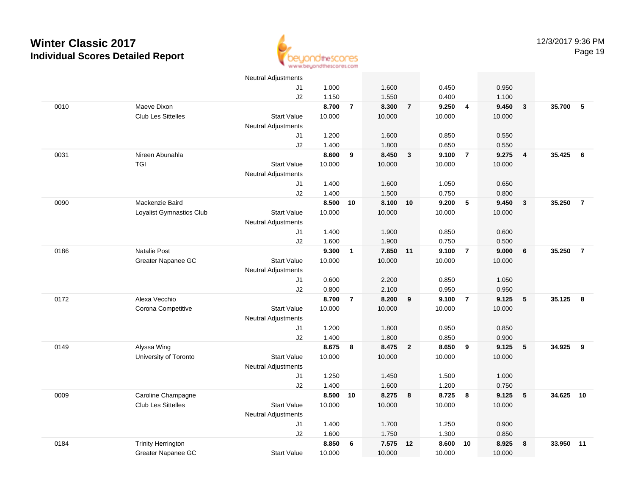

|      |                           | <b>Neutral Adjustments</b> |        |                |          |                |        |                         |        |                         |        |                |
|------|---------------------------|----------------------------|--------|----------------|----------|----------------|--------|-------------------------|--------|-------------------------|--------|----------------|
|      |                           | J1                         | 1.000  |                | 1.600    |                | 0.450  |                         | 0.950  |                         |        |                |
|      |                           | J2                         | 1.150  |                | 1.550    |                | 0.400  |                         | 1.100  |                         |        |                |
| 0010 | Maeve Dixon               |                            | 8.700  | $\overline{7}$ | 8.300    | $\overline{7}$ | 9.250  | $\overline{4}$          | 9.450  | $\mathbf{3}$            | 35.700 | 5              |
|      | Club Les Sittelles        | <b>Start Value</b>         | 10.000 |                | 10.000   |                | 10.000 |                         | 10.000 |                         |        |                |
|      |                           | <b>Neutral Adjustments</b> |        |                |          |                |        |                         |        |                         |        |                |
|      |                           | J1                         | 1.200  |                | 1.600    |                | 0.850  |                         | 0.550  |                         |        |                |
|      |                           | J2                         | 1.400  |                | 1.800    |                | 0.650  |                         | 0.550  |                         |        |                |
| 0031 | Nireen Abunahla           |                            | 8.600  | 9              | 8.450    | $\mathbf{3}$   | 9.100  | $\overline{7}$          | 9.275  | $\overline{\mathbf{4}}$ | 35.425 | 6              |
|      | <b>TGI</b>                | <b>Start Value</b>         | 10.000 |                | 10.000   |                | 10.000 |                         | 10.000 |                         |        |                |
|      |                           | <b>Neutral Adjustments</b> |        |                |          |                |        |                         |        |                         |        |                |
|      |                           | J1                         | 1.400  |                | 1.600    |                | 1.050  |                         | 0.650  |                         |        |                |
|      |                           | J2                         | 1.400  |                | 1.500    |                | 0.750  |                         | 0.800  |                         |        |                |
| 0090 | Mackenzie Baird           |                            | 8.500  | 10             | 8.100 10 |                | 9.200  | 5                       | 9.450  | $\overline{\mathbf{3}}$ | 35.250 | $\overline{7}$ |
|      | Loyalist Gymnastics Club  | <b>Start Value</b>         | 10.000 |                | 10.000   |                | 10.000 |                         | 10.000 |                         |        |                |
|      |                           | <b>Neutral Adjustments</b> |        |                |          |                |        |                         |        |                         |        |                |
|      |                           | J1                         | 1.400  |                | 1.900    |                | 0.850  |                         | 0.600  |                         |        |                |
|      |                           | J2                         | 1.600  |                | 1.900    |                | 0.750  |                         | 0.500  |                         |        |                |
| 0186 | <b>Natalie Post</b>       |                            | 9.300  | $\mathbf{1}$   | 7.850 11 |                | 9.100  | $\overline{7}$          | 9.000  | 6                       | 35.250 | $\overline{7}$ |
|      | Greater Napanee GC        | <b>Start Value</b>         | 10.000 |                | 10.000   |                | 10.000 |                         | 10.000 |                         |        |                |
|      |                           | <b>Neutral Adjustments</b> |        |                |          |                |        |                         |        |                         |        |                |
|      |                           | J <sub>1</sub>             | 0.600  |                | 2.200    |                | 0.850  |                         | 1.050  |                         |        |                |
|      |                           | J2                         | 0.800  |                | 2.100    |                | 0.950  |                         | 0.950  |                         |        |                |
| 0172 | Alexa Vecchio             |                            | 8.700  | $\overline{7}$ | 8.200    | 9              | 9.100  | $\overline{7}$          | 9.125  | 5                       | 35.125 | 8              |
|      | Corona Competitive        | <b>Start Value</b>         | 10.000 |                | 10.000   |                | 10.000 |                         | 10.000 |                         |        |                |
|      |                           | <b>Neutral Adjustments</b> |        |                |          |                |        |                         |        |                         |        |                |
|      |                           | J1                         | 1.200  |                | 1.800    |                | 0.950  |                         | 0.850  |                         |        |                |
|      |                           | J2                         | 1.400  |                | 1.800    |                | 0.850  |                         | 0.900  |                         |        |                |
| 0149 | Alyssa Wing               |                            | 8.675  | 8              | 8.475    | $\overline{2}$ | 8.650  | 9                       | 9.125  | 5                       | 34.925 | 9              |
|      | University of Toronto     | <b>Start Value</b>         | 10.000 |                | 10.000   |                | 10.000 |                         | 10.000 |                         |        |                |
|      |                           | <b>Neutral Adjustments</b> |        |                |          |                |        |                         |        |                         |        |                |
|      |                           | J1                         | 1.250  |                | 1.450    |                | 1.500  |                         | 1.000  |                         |        |                |
|      |                           | J2                         | 1.400  |                | 1.600    |                | 1.200  |                         | 0.750  |                         |        |                |
| 0009 | Caroline Champagne        |                            | 8.500  | 10             | 8.275    | $\bf{8}$       | 8.725  | $\overline{\mathbf{8}}$ | 9.125  | 5                       | 34.625 | 10             |
|      | Club Les Sittelles        | <b>Start Value</b>         | 10.000 |                | 10.000   |                | 10.000 |                         | 10.000 |                         |        |                |
|      |                           | <b>Neutral Adjustments</b> |        |                |          |                |        |                         |        |                         |        |                |
|      |                           | J <sub>1</sub>             | 1.400  |                | 1.700    |                | 1.250  |                         | 0.900  |                         |        |                |
|      |                           | J2                         | 1.600  |                | 1.750    |                | 1.300  |                         | 0.850  |                         |        |                |
| 0184 | <b>Trinity Herrington</b> |                            | 8.850  | 6              | 7.575    | 12             | 8.600  | 10                      | 8.925  | 8                       | 33.950 | 11             |
|      | Greater Napanee GC        | <b>Start Value</b>         | 10.000 |                | 10.000   |                | 10.000 |                         | 10.000 |                         |        |                |